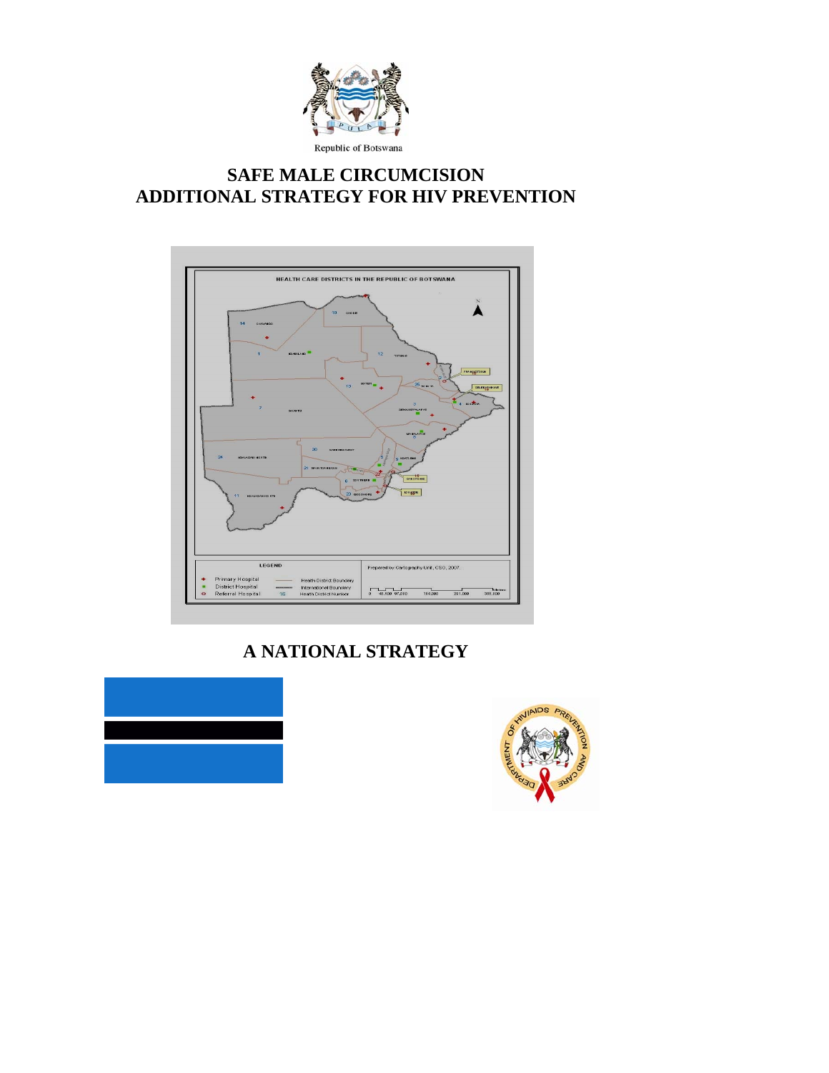

# **SAFE MALE CIRCUMCISION ADDITIONAL STRATEGY FOR HIV PREVENTION**



**A NATIONAL STRATEGY** 



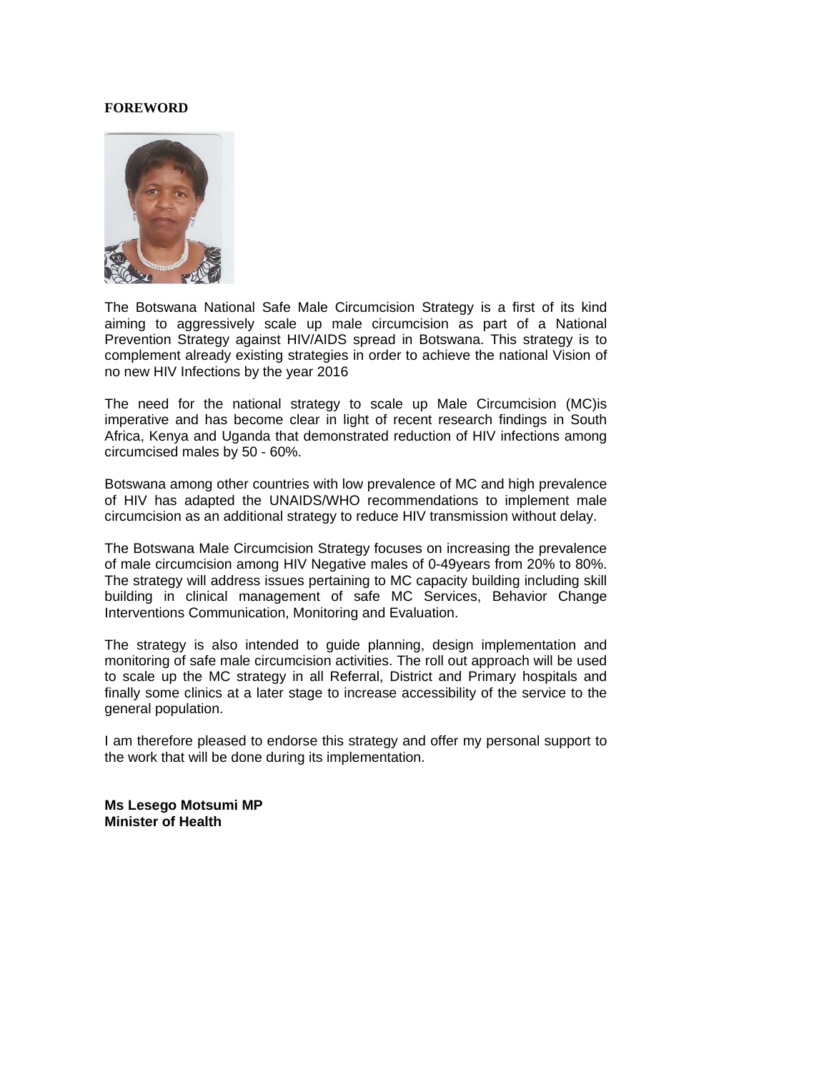#### **FOREWORD**



The Botswana National Safe Male Circumcision Strategy is a first of its kind aiming to aggressively scale up male circumcision as part of a National Prevention Strategy against HIV/AIDS spread in Botswana. This strategy is to complement already existing strategies in order to achieve the national Vision of no new HIV Infections by the year 2016

The need for the national strategy to scale up Male Circumcision (MC)is imperative and has become clear in light of recent research findings in South Africa, Kenya and Uganda that demonstrated reduction of HIV infections among circumcised males by 50 - 60%.

Botswana among other countries with low prevalence of MC and high prevalence of HIV has adapted the UNAIDS/WHO recommendations to implement male circumcision as an additional strategy to reduce HIV transmission without delay.

The Botswana Male Circumcision Strategy focuses on increasing the prevalence of male circumcision among HIV Negative males of 0-49years from 20% to 80%. The strategy will address issues pertaining to MC capacity building including skill building in clinical management of safe MC Services, Behavior Change Interventions Communication, Monitoring and Evaluation.

The strategy is also intended to guide planning, design implementation and monitoring of safe male circumcision activities. The roll out approach will be used to scale up the MC strategy in all Referral, District and Primary hospitals and finally some clinics at a later stage to increase accessibility of the service to the general population.

I am therefore pleased to endorse this strategy and offer my personal support to the work that will be done during its implementation.

**Ms Lesego Motsumi MP Minister of Health**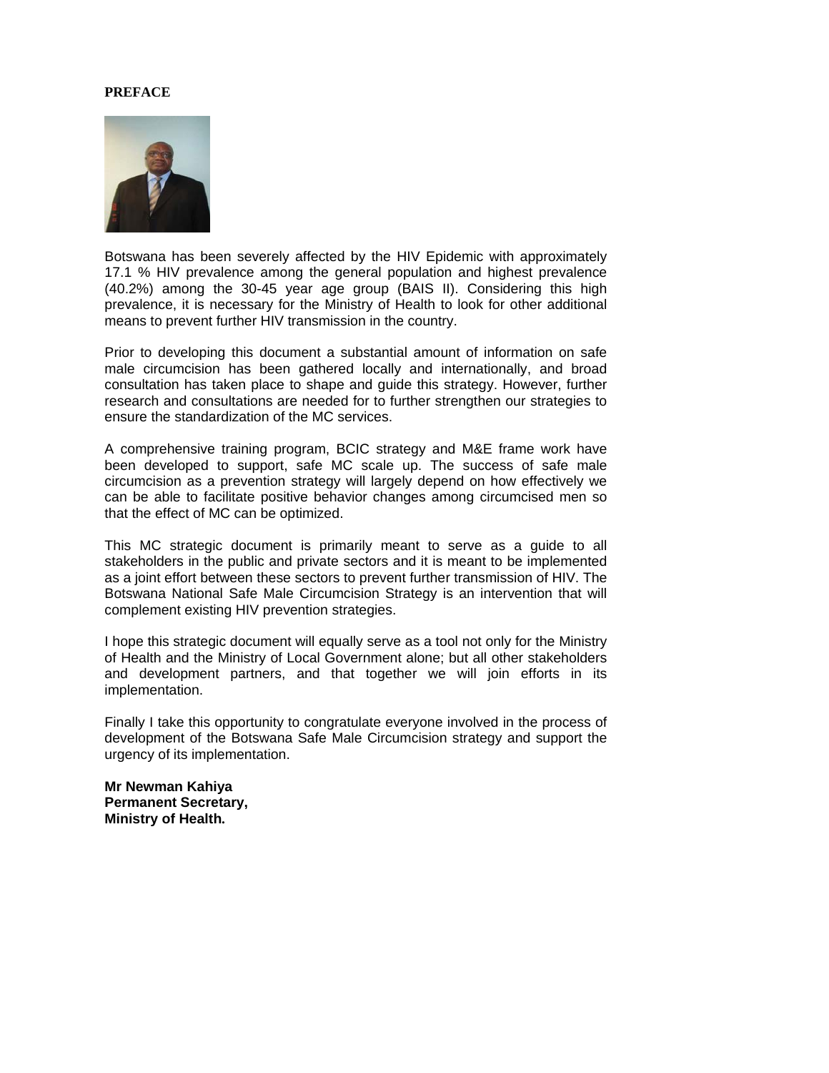#### **PREFACE**



Botswana has been severely affected by the HIV Epidemic with approximately 17.1 % HIV prevalence among the general population and highest prevalence (40.2%) among the 30-45 year age group (BAIS II). Considering this high prevalence, it is necessary for the Ministry of Health to look for other additional means to prevent further HIV transmission in the country.

Prior to developing this document a substantial amount of information on safe male circumcision has been gathered locally and internationally, and broad consultation has taken place to shape and guide this strategy. However, further research and consultations are needed for to further strengthen our strategies to ensure the standardization of the MC services.

A comprehensive training program, BCIC strategy and M&E frame work have been developed to support, safe MC scale up. The success of safe male circumcision as a prevention strategy will largely depend on how effectively we can be able to facilitate positive behavior changes among circumcised men so that the effect of MC can be optimized.

This MC strategic document is primarily meant to serve as a guide to all stakeholders in the public and private sectors and it is meant to be implemented as a joint effort between these sectors to prevent further transmission of HIV. The Botswana National Safe Male Circumcision Strategy is an intervention that will complement existing HIV prevention strategies.

I hope this strategic document will equally serve as a tool not only for the Ministry of Health and the Ministry of Local Government alone; but all other stakeholders and development partners, and that together we will join efforts in its implementation.

Finally I take this opportunity to congratulate everyone involved in the process of development of the Botswana Safe Male Circumcision strategy and support the urgency of its implementation.

**Mr Newman Kahiya Permanent Secretary, Ministry of Health.**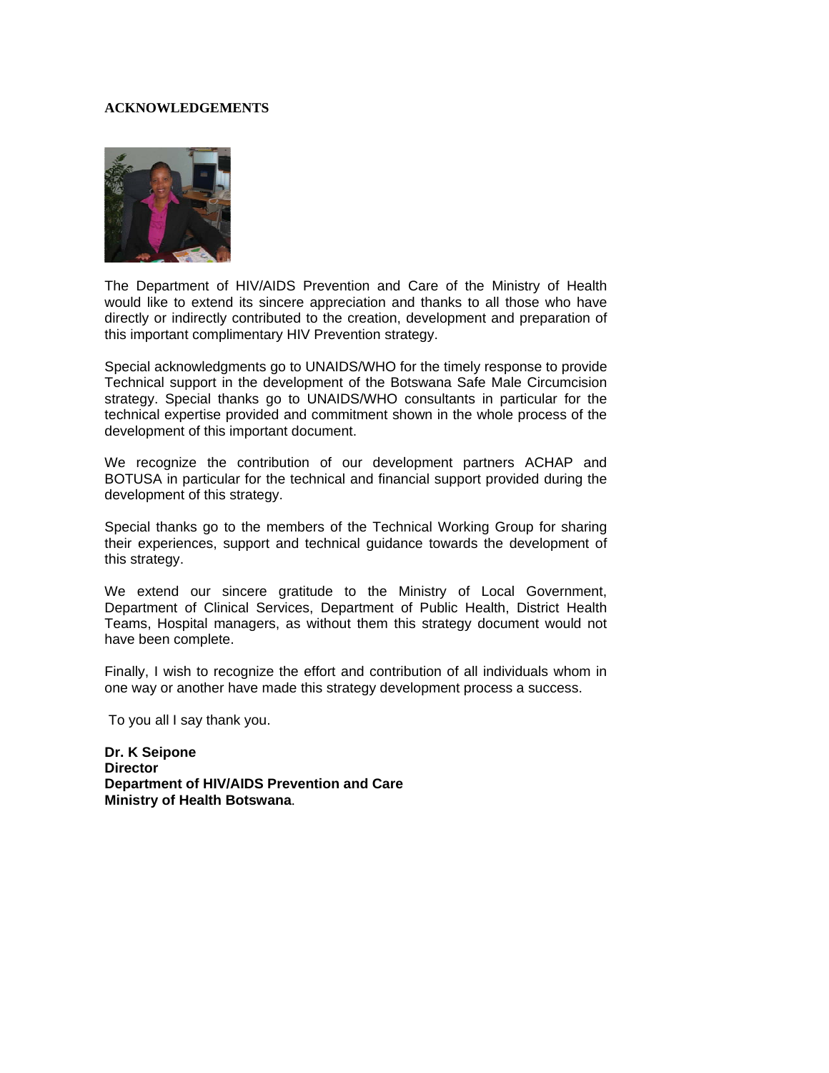#### **ACKNOWLEDGEMENTS**



The Department of HIV/AIDS Prevention and Care of the Ministry of Health would like to extend its sincere appreciation and thanks to all those who have directly or indirectly contributed to the creation, development and preparation of this important complimentary HIV Prevention strategy.

Special acknowledgments go to UNAIDS/WHO for the timely response to provide Technical support in the development of the Botswana Safe Male Circumcision strategy. Special thanks go to UNAIDS/WHO consultants in particular for the technical expertise provided and commitment shown in the whole process of the development of this important document.

We recognize the contribution of our development partners ACHAP and BOTUSA in particular for the technical and financial support provided during the development of this strategy.

Special thanks go to the members of the Technical Working Group for sharing their experiences, support and technical guidance towards the development of this strategy.

We extend our sincere gratitude to the Ministry of Local Government, Department of Clinical Services, Department of Public Health, District Health Teams, Hospital managers, as without them this strategy document would not have been complete.

Finally, I wish to recognize the effort and contribution of all individuals whom in one way or another have made this strategy development process a success.

To you all I say thank you.

**Dr. K Seipone Director Department of HIV/AIDS Prevention and Care Ministry of Health Botswana**.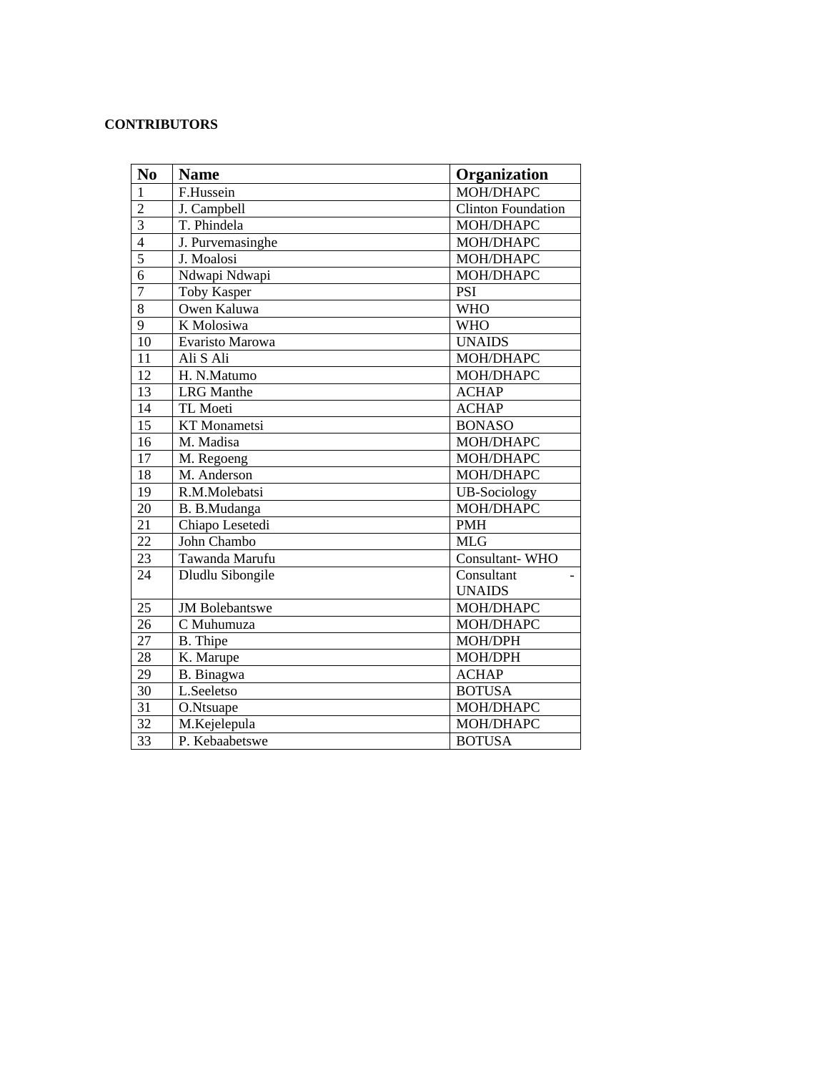#### **CONTRIBUTORS**

| No              | <b>Name</b>           | Organization              |
|-----------------|-----------------------|---------------------------|
| $\overline{1}$  | F.Hussein             | MOH/DHAPC                 |
| $\overline{2}$  | J. Campbell           | <b>Clinton Foundation</b> |
| $\overline{3}$  | T. Phindela           | MOH/DHAPC                 |
| $\overline{4}$  | J. Purvemasinghe      | MOH/DHAPC                 |
| $\overline{5}$  | J. Moalosi            | MOH/DHAPC                 |
| $\overline{6}$  | Ndwapi Ndwapi         | MOH/DHAPC                 |
| $\overline{7}$  | <b>Toby Kasper</b>    | <b>PSI</b>                |
| $\overline{8}$  | Owen Kaluwa           | <b>WHO</b>                |
| $\overline{9}$  | K Molosiwa            | <b>WHO</b>                |
| 10              | Evaristo Marowa       | <b>UNAIDS</b>             |
| 11              | Ali S Ali             | MOH/DHAPC                 |
| $\overline{12}$ | H. N.Matumo           | MOH/DHAPC                 |
| 13              | <b>LRG</b> Manthe     | <b>ACHAP</b>              |
| 14              | TL Moeti              | <b>ACHAP</b>              |
| $\overline{15}$ | <b>KT</b> Monametsi   | <b>BONASO</b>             |
| 16              | M. Madisa             | MOH/DHAPC                 |
| 17              | M. Regoeng            | MOH/DHAPC                 |
| 18              | M. Anderson           | MOH/DHAPC                 |
| 19              | R.M.Molebatsi         | <b>UB-Sociology</b>       |
| 20              | B. B.Mudanga          | MOH/DHAPC                 |
| 21              | Chiapo Lesetedi       | <b>PMH</b>                |
| 22              | John Chambo           | <b>MLG</b>                |
| 23              | Tawanda Marufu        | Consultant-WHO            |
| 24              | Dludlu Sibongile      | Consultant                |
|                 |                       | <b>UNAIDS</b>             |
| 25              | <b>JM</b> Bolebantswe | MOH/DHAPC                 |
| 26              | C Muhumuza            | MOH/DHAPC                 |
| 27              | B. Thipe              | MOH/DPH                   |
| 28              | K. Marupe             | MOH/DPH                   |
| 29              | B. Binagwa            | <b>ACHAP</b>              |
| 30              | L.Seeletso            | <b>BOTUSA</b>             |
| 31              | O.Ntsuape             | MOH/DHAPC                 |
| 32              | M.Kejelepula          | MOH/DHAPC                 |
| 33              | P. Kebaabetswe        | <b>BOTUSA</b>             |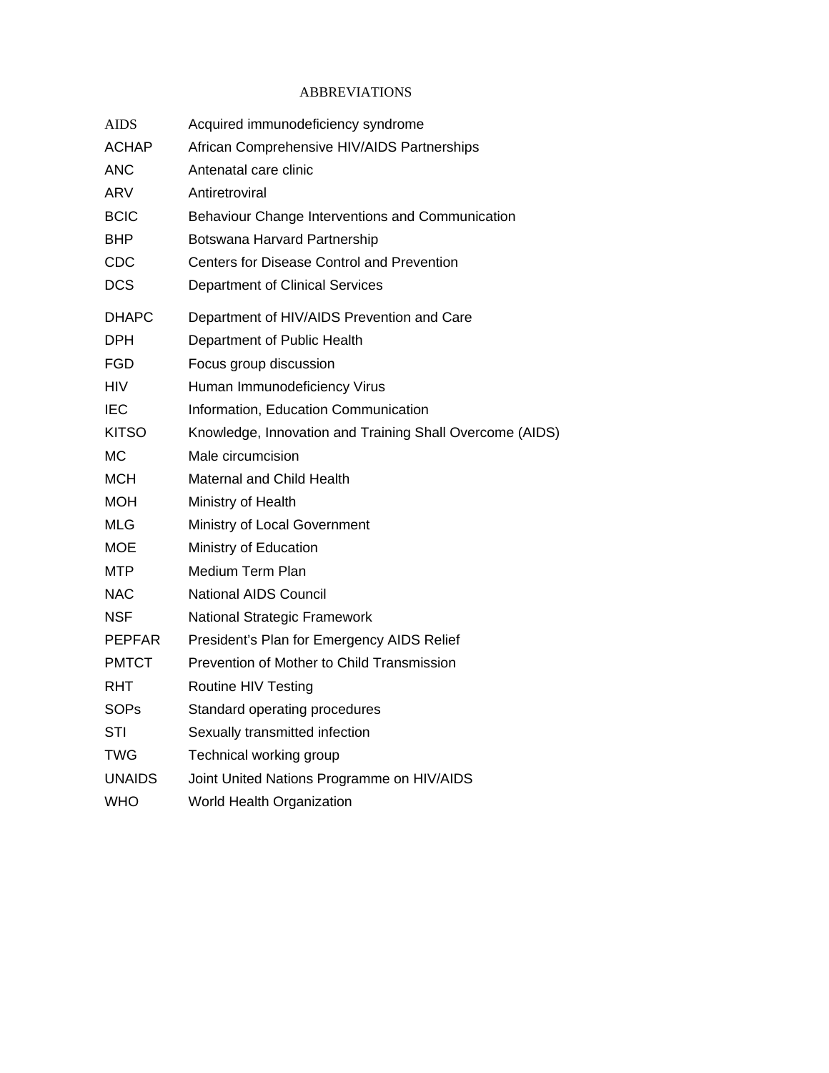# ABBREVIATIONS

| <b>AIDS</b>   | Acquired immunodeficiency syndrome                       |
|---------------|----------------------------------------------------------|
| <b>ACHAP</b>  | African Comprehensive HIV/AIDS Partnerships              |
| <b>ANC</b>    | Antenatal care clinic                                    |
| ARV           | Antiretroviral                                           |
| <b>BCIC</b>   | Behaviour Change Interventions and Communication         |
| <b>BHP</b>    | Botswana Harvard Partnership                             |
| <b>CDC</b>    | <b>Centers for Disease Control and Prevention</b>        |
| <b>DCS</b>    | <b>Department of Clinical Services</b>                   |
| <b>DHAPC</b>  | Department of HIV/AIDS Prevention and Care               |
| DPH           | Department of Public Health                              |
| FGD           | Focus group discussion                                   |
| <b>HIV</b>    | Human Immunodeficiency Virus                             |
| IEC           | Information, Education Communication                     |
| <b>KITSO</b>  | Knowledge, Innovation and Training Shall Overcome (AIDS) |
| МC            | Male circumcision                                        |
| MCH           | Maternal and Child Health                                |
| MOH           | Ministry of Health                                       |
| MLG           | Ministry of Local Government                             |
| <b>MOE</b>    | Ministry of Education                                    |
| MTP           | Medium Term Plan                                         |
| NAC           | <b>National AIDS Council</b>                             |
| <b>NSF</b>    | National Strategic Framework                             |
| <b>PEPFAR</b> | President's Plan for Emergency AIDS Relief               |
| <b>PMTCT</b>  | Prevention of Mother to Child Transmission               |
| RHT           | Routine HIV Testing                                      |
| SOPs          | Standard operating procedures                            |
| STI           | Sexually transmitted infection                           |
| TWG           | Technical working group                                  |
| <b>UNAIDS</b> | Joint United Nations Programme on HIV/AIDS               |
| <b>WHO</b>    | World Health Organization                                |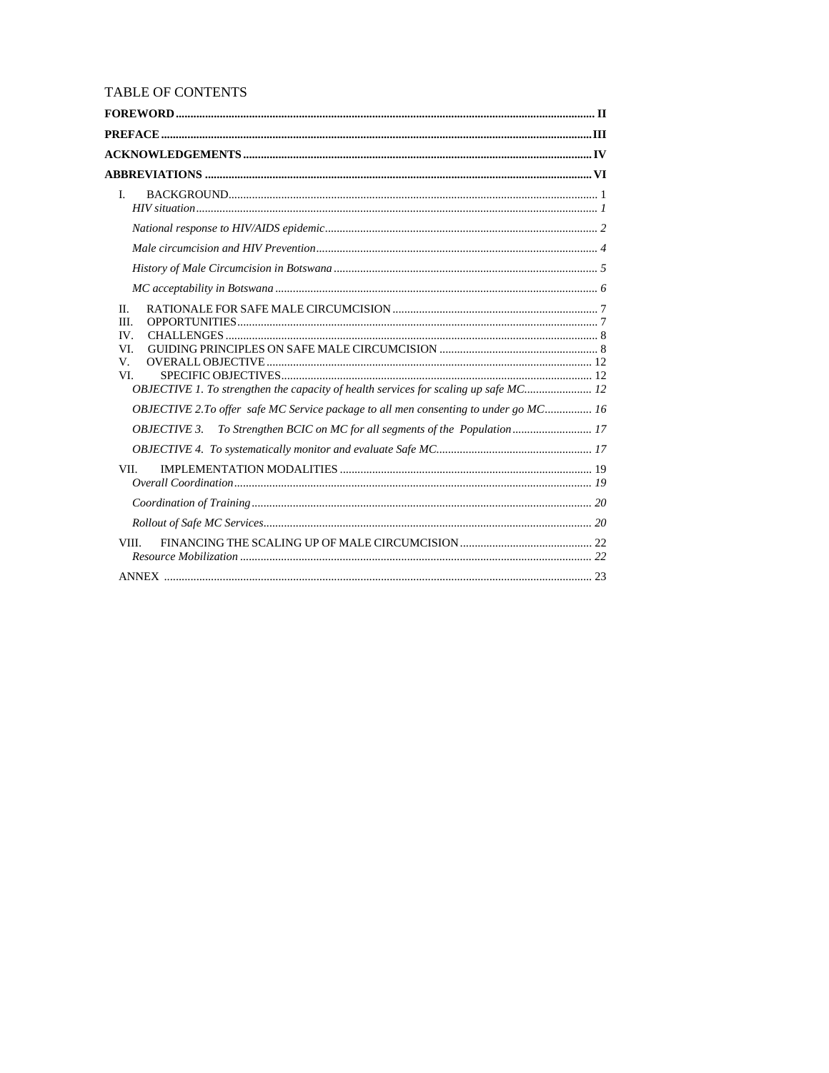## TABLE OF CONTENTS

| $\mathbf{L}$                                                                         |  |
|--------------------------------------------------------------------------------------|--|
|                                                                                      |  |
|                                                                                      |  |
|                                                                                      |  |
|                                                                                      |  |
| II.<br>III.<br>IV.                                                                   |  |
| VI.<br>V.                                                                            |  |
| VI.                                                                                  |  |
| OBJECTIVE 1. To strengthen the capacity of health services for scaling up safe MC 12 |  |
| OBJECTIVE 2.To offer safe MC Service package to all men consenting to under go MC 16 |  |
| <i>OBJECTIVE 3.</i>                                                                  |  |
|                                                                                      |  |
| VII.                                                                                 |  |
|                                                                                      |  |
|                                                                                      |  |
| VIII.                                                                                |  |
|                                                                                      |  |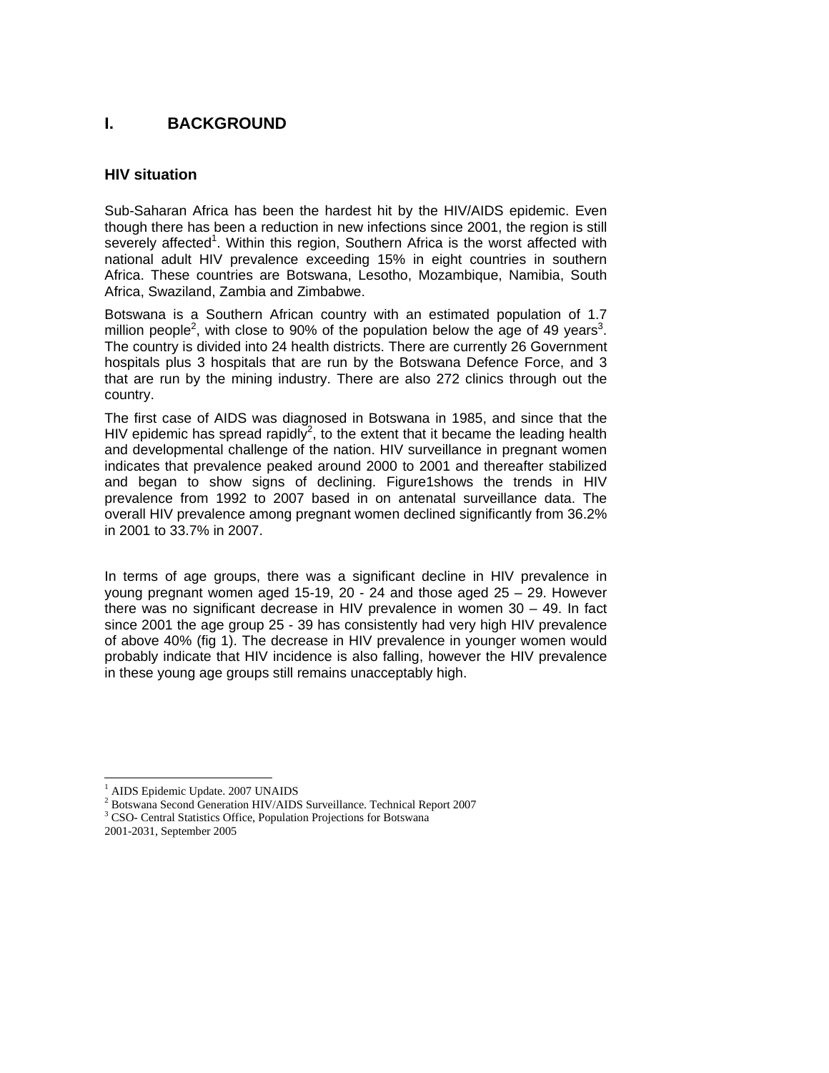# **I. BACKGROUND**

## **HIV situation**

Sub-Saharan Africa has been the hardest hit by the HIV/AIDS epidemic. Even though there has been a reduction in new infections since 2001, the region is still severely affected<sup>1</sup>. Within this region, Southern Africa is the worst affected with national adult HIV prevalence exceeding 15% in eight countries in southern Africa. These countries are Botswana, Lesotho, Mozambique, Namibia, South Africa, Swaziland, Zambia and Zimbabwe.

Botswana is a Southern African country with an estimated population of 1.7 million people<sup>2</sup>, with close to 90% of the population below the age of 49 years<sup>3</sup>. The country is divided into 24 health districts. There are currently 26 Government hospitals plus 3 hospitals that are run by the Botswana Defence Force, and 3 that are run by the mining industry. There are also 272 clinics through out the country.

The first case of AIDS was diagnosed in Botswana in 1985, and since that the HIV epidemic has spread rapidly<sup>2</sup>, to the extent that it became the leading health and developmental challenge of the nation. HIV surveillance in pregnant women indicates that prevalence peaked around 2000 to 2001 and thereafter stabilized and began to show signs of declining. Figure1shows the trends in HIV prevalence from 1992 to 2007 based in on antenatal surveillance data. The overall HIV prevalence among pregnant women declined significantly from 36.2% in 2001 to 33.7% in 2007.

In terms of age groups, there was a significant decline in HIV prevalence in young pregnant women aged 15-19, 20 - 24 and those aged 25 – 29. However there was no significant decrease in HIV prevalence in women 30 – 49. In fact since 2001 the age group 25 - 39 has consistently had very high HIV prevalence of above 40% (fig 1). The decrease in HIV prevalence in younger women would probably indicate that HIV incidence is also falling, however the HIV prevalence in these young age groups still remains unacceptably high.

<sup>3</sup> CSO- Central Statistics Office, Population Projections for Botswana 2001-2031, September 2005

<sup>&</sup>lt;sup>1</sup> AIDS Epidemic Update. 2007 UNAIDS

<sup>&</sup>lt;sup>2</sup> Botswana Second Generation HIV/AIDS Surveillance. Technical Report 2007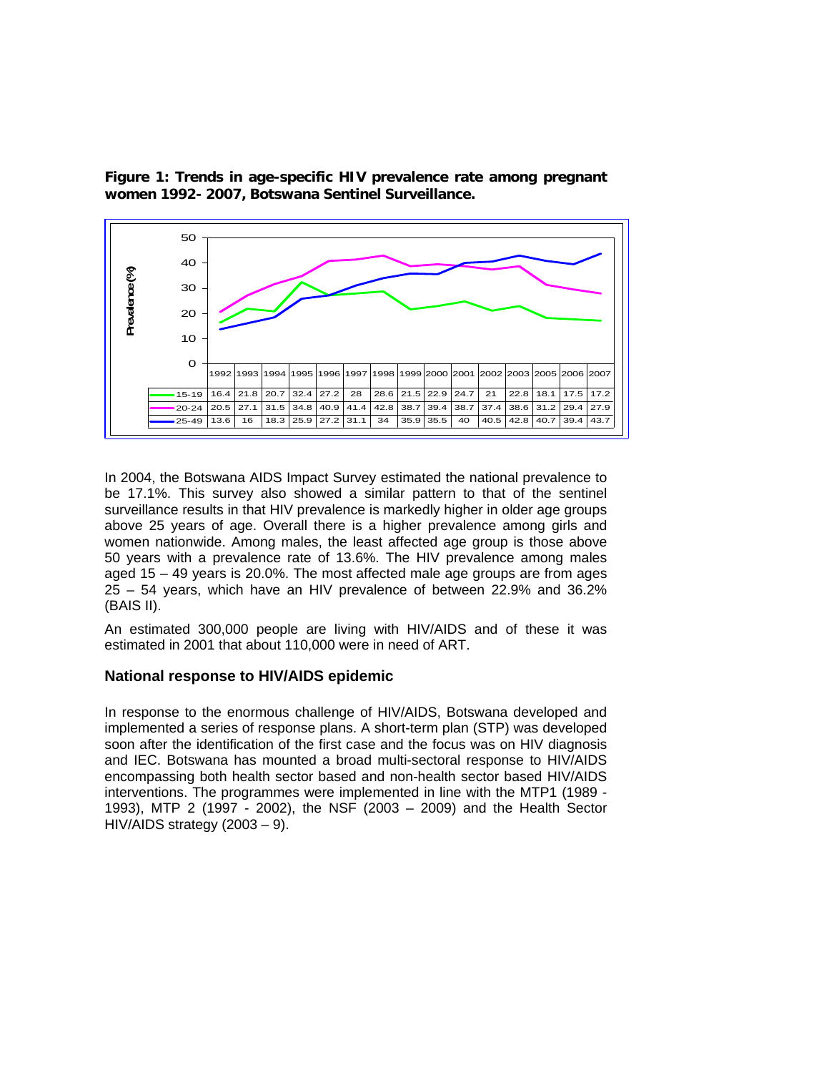

**Figure 1: Trends in age-specific HIV prevalence rate among pregnant women 1992- 2007, Botswana Sentinel Surveillance.** 

In 2004, the Botswana AIDS Impact Survey estimated the national prevalence to be 17.1%. This survey also showed a similar pattern to that of the sentinel surveillance results in that HIV prevalence is markedly higher in older age groups above 25 years of age. Overall there is a higher prevalence among girls and women nationwide. Among males, the least affected age group is those above 50 years with a prevalence rate of 13.6%. The HIV prevalence among males aged 15 – 49 years is 20.0%. The most affected male age groups are from ages 25 – 54 years, which have an HIV prevalence of between 22.9% and 36.2% (BAIS II).

An estimated 300,000 people are living with HIV/AIDS and of these it was estimated in 2001 that about 110,000 were in need of ART.

#### **National response to HIV/AIDS epidemic**

In response to the enormous challenge of HIV/AIDS, Botswana developed and implemented a series of response plans. A short-term plan (STP) was developed soon after the identification of the first case and the focus was on HIV diagnosis and IEC. Botswana has mounted a broad multi-sectoral response to HIV/AIDS encompassing both health sector based and non-health sector based HIV/AIDS interventions. The programmes were implemented in line with the MTP1 (1989 - 1993), MTP 2 (1997 - 2002), the NSF (2003 – 2009) and the Health Sector HIV/AIDS strategy (2003 – 9).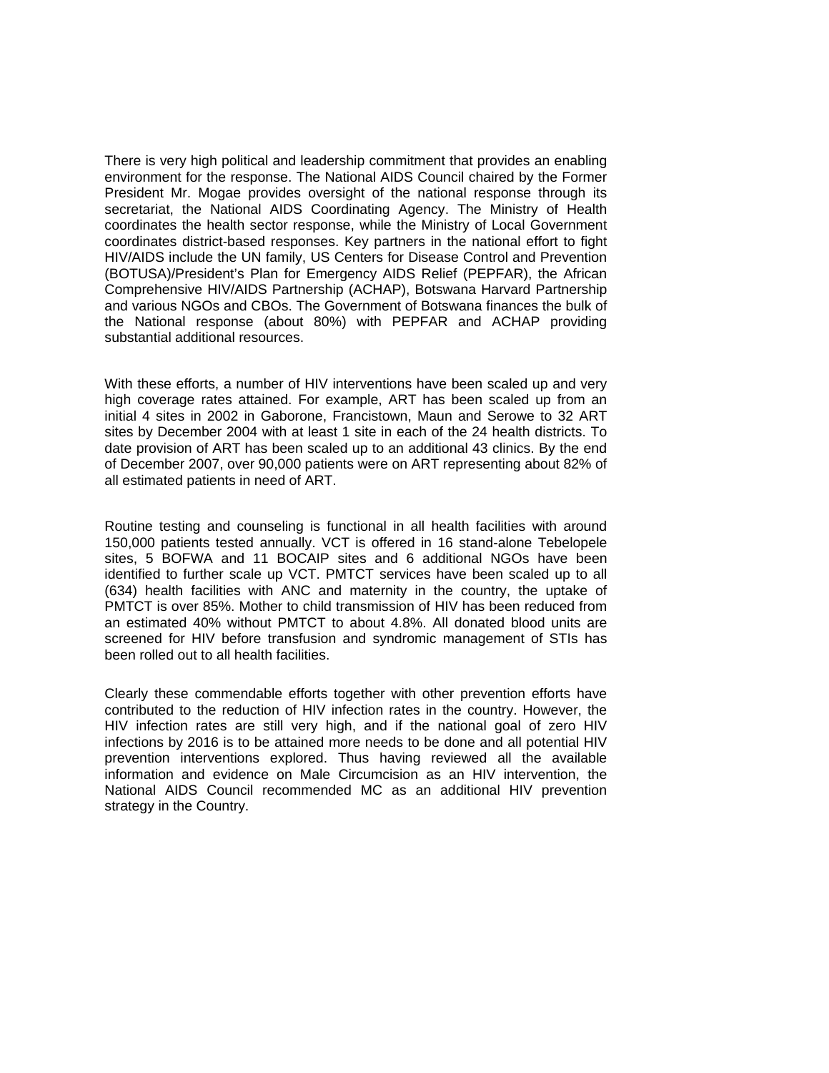There is very high political and leadership commitment that provides an enabling environment for the response. The National AIDS Council chaired by the Former President Mr. Mogae provides oversight of the national response through its secretariat, the National AIDS Coordinating Agency. The Ministry of Health coordinates the health sector response, while the Ministry of Local Government coordinates district-based responses. Key partners in the national effort to fight HIV/AIDS include the UN family, US Centers for Disease Control and Prevention (BOTUSA)/President's Plan for Emergency AIDS Relief (PEPFAR), the African Comprehensive HIV/AIDS Partnership (ACHAP), Botswana Harvard Partnership and various NGOs and CBOs. The Government of Botswana finances the bulk of the National response (about 80%) with PEPFAR and ACHAP providing substantial additional resources.

With these efforts, a number of HIV interventions have been scaled up and very high coverage rates attained. For example, ART has been scaled up from an initial 4 sites in 2002 in Gaborone, Francistown, Maun and Serowe to 32 ART sites by December 2004 with at least 1 site in each of the 24 health districts. To date provision of ART has been scaled up to an additional 43 clinics. By the end of December 2007, over 90,000 patients were on ART representing about 82% of all estimated patients in need of ART.

Routine testing and counseling is functional in all health facilities with around 150,000 patients tested annually. VCT is offered in 16 stand-alone Tebelopele sites, 5 BOFWA and 11 BOCAIP sites and 6 additional NGOs have been identified to further scale up VCT. PMTCT services have been scaled up to all (634) health facilities with ANC and maternity in the country, the uptake of PMTCT is over 85%. Mother to child transmission of HIV has been reduced from an estimated 40% without PMTCT to about 4.8%. All donated blood units are screened for HIV before transfusion and syndromic management of STIs has been rolled out to all health facilities.

Clearly these commendable efforts together with other prevention efforts have contributed to the reduction of HIV infection rates in the country. However, the HIV infection rates are still very high, and if the national goal of zero HIV infections by 2016 is to be attained more needs to be done and all potential HIV prevention interventions explored. Thus having reviewed all the available information and evidence on Male Circumcision as an HIV intervention, the National AIDS Council recommended MC as an additional HIV prevention strategy in the Country.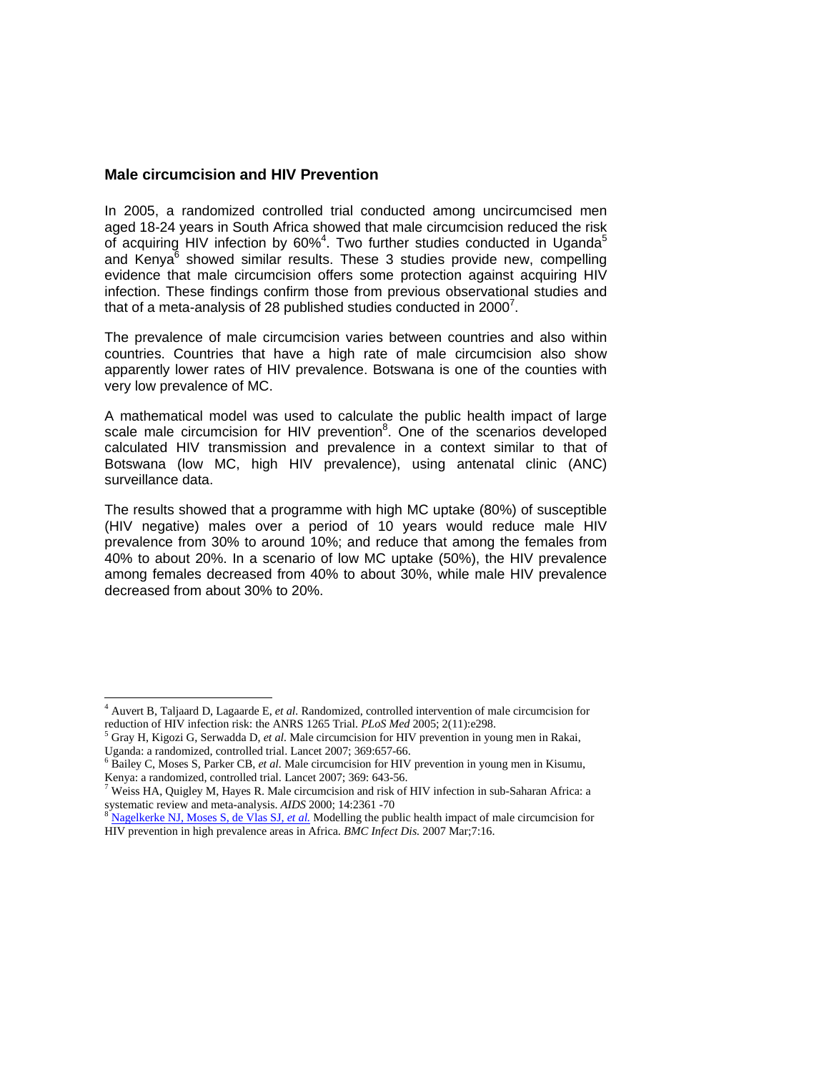#### **Male circumcision and HIV Prevention**

In 2005, a randomized controlled trial conducted among uncircumcised men aged 18-24 years in South Africa showed that male circumcision reduced the risk of acquiring HIV infection by 60%<sup>4</sup>. Two further studies conducted in Uganda<sup>5</sup> and Kenya<sup>6</sup> showed similar results. These 3 studies provide new, compelling evidence that male circumcision offers some protection against acquiring HIV infection. These findings confirm those from previous observational studies and that of a meta-analysis of 28 published studies conducted in 2000<sup>7</sup>.

The prevalence of male circumcision varies between countries and also within countries. Countries that have a high rate of male circumcision also show apparently lower rates of HIV prevalence. Botswana is one of the counties with very low prevalence of MC.

A mathematical model was used to calculate the public health impact of large scale male circumcision for HIV prevention<sup>8</sup>. One of the scenarios developed calculated HIV transmission and prevalence in a context similar to that of Botswana (low MC, high HIV prevalence), using antenatal clinic (ANC) surveillance data.

The results showed that a programme with high MC uptake (80%) of susceptible (HIV negative) males over a period of 10 years would reduce male HIV prevalence from 30% to around 10%; and reduce that among the females from 40% to about 20%. In a scenario of low MC uptake (50%), the HIV prevalence among females decreased from 40% to about 30%, while male HIV prevalence decreased from about 30% to 20%.

 4 Auvert B, Taljaard D, Lagaarde E, *et al.* Randomized, controlled intervention of male circumcision for reduction of HIV infection risk: the ANRS 1265 Trial. *PLoS Med* 2005; 2(11):e298.

<sup>&</sup>lt;sup>5</sup> Gray H, Kigozi G, Serwadda D, *et al.* Male circumcision for HIV prevention in young men in Rakai, Uganda: a randomized, controlled trial. Lancet 2007; 369:657-66.

<sup>&</sup>lt;sup>6</sup> Bailey C, Moses S, Parker CB, *et al.* Male circumcision for HIV prevention in young men in Kisumu, Kenya: a randomized, controlled trial. Lancet 2007; 369: 643-56.

 $7$  Weiss HA, Quigley M, Hayes R. Male circumcision and risk of HIV infection in sub-Saharan Africa: a systematic review and meta-analysis. *AIDS* 2000; 14:2361 -70<br><sup>8</sup> Nagelkerke NJ, Moses S, de Vlas SJ, *et al.* Modelling the public health impact of male circumcision for

HIV prevention in high prevalence areas in Africa. *BMC Infect Dis.* 2007 Mar;7:16.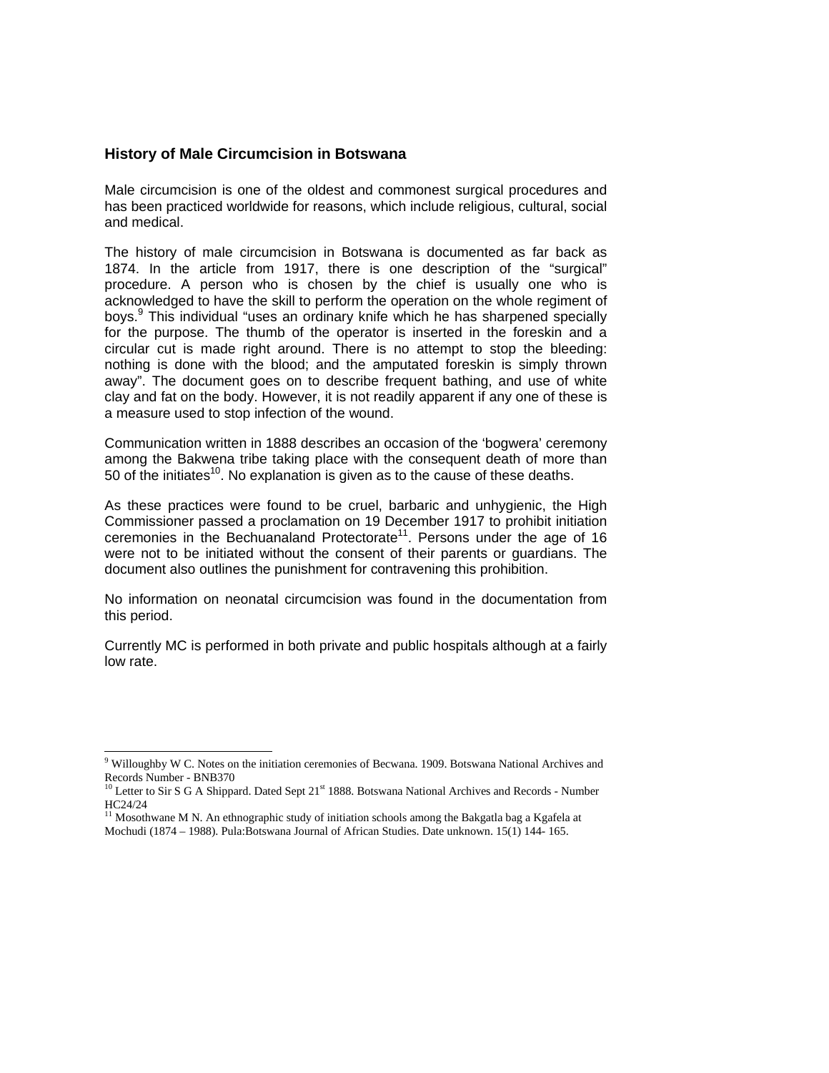#### **History of Male Circumcision in Botswana**

Male circumcision is one of the oldest and commonest surgical procedures and has been practiced worldwide for reasons, which include religious, cultural, social and medical.

The history of male circumcision in Botswana is documented as far back as 1874. In the article from 1917, there is one description of the "surgical" procedure. A person who is chosen by the chief is usually one who is acknowledged to have the skill to perform the operation on the whole regiment of boys.<sup>9</sup> This individual "uses an ordinary knife which he has sharpened specially for the purpose. The thumb of the operator is inserted in the foreskin and a circular cut is made right around. There is no attempt to stop the bleeding: nothing is done with the blood; and the amputated foreskin is simply thrown away". The document goes on to describe frequent bathing, and use of white clay and fat on the body. However, it is not readily apparent if any one of these is a measure used to stop infection of the wound.

Communication written in 1888 describes an occasion of the 'bogwera' ceremony among the Bakwena tribe taking place with the consequent death of more than 50 of the initiates<sup>10</sup>. No explanation is given as to the cause of these deaths.

As these practices were found to be cruel, barbaric and unhygienic, the High Commissioner passed a proclamation on 19 December 1917 to prohibit initiation ceremonies in the Bechuanaland Protectorate<sup>11</sup>. Persons under the age of 16 were not to be initiated without the consent of their parents or guardians. The document also outlines the punishment for contravening this prohibition.

No information on neonatal circumcision was found in the documentation from this period.

Currently MC is performed in both private and public hospitals although at a fairly low rate.

<sup>11</sup> Mosothwane M N. An ethnographic study of initiation schools among the Bakgatla bag a Kgafela at Mochudi (1874 – 1988). Pula:Botswana Journal of African Studies. Date unknown. 15(1) 144- 165.

l

<sup>&</sup>lt;sup>9</sup> Willoughby W C. Notes on the initiation ceremonies of Becwana. 1909. Botswana National Archives and Records Number - BNB370

<sup>&</sup>lt;sup>10</sup> Letter to Sir S G A Shippard. Dated Sept 21<sup>st</sup> 1888. Botswana National Archives and Records - Number HC24/24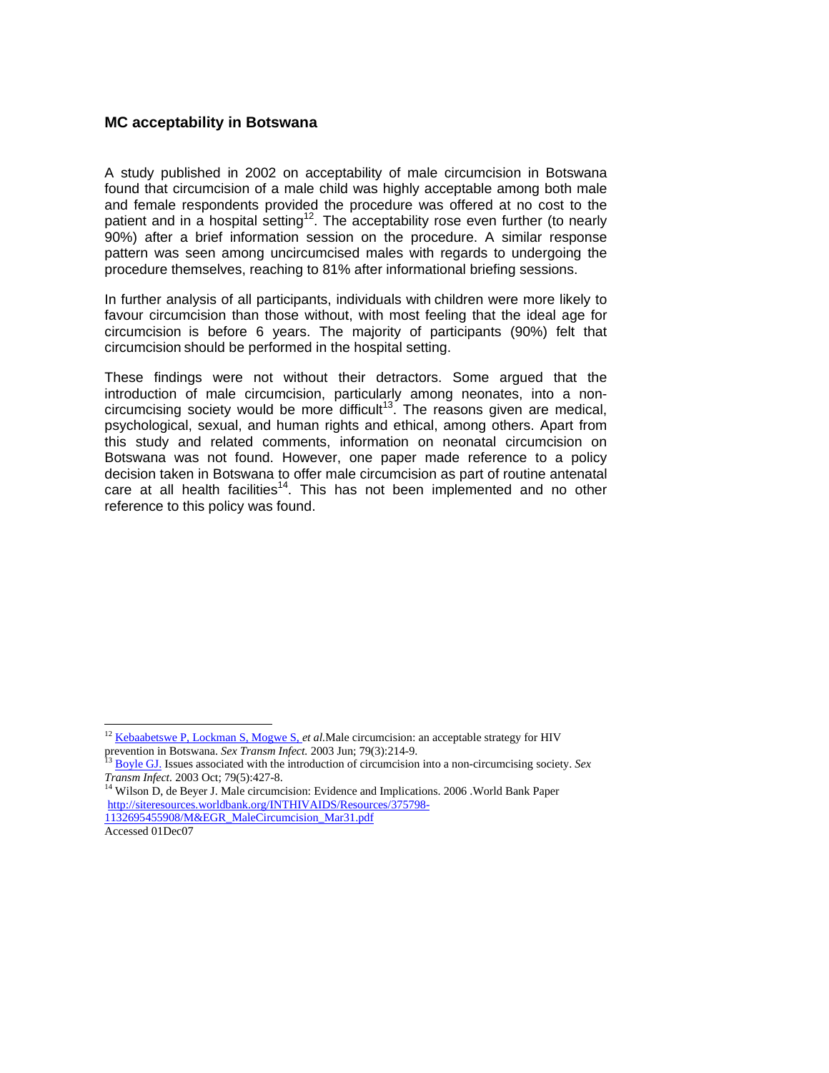#### **MC acceptability in Botswana**

A study published in 2002 on acceptability of male circumcision in Botswana found that circumcision of a male child was highly acceptable among both male and female respondents provided the procedure was offered at no cost to the patient and in a hospital setting<sup>12</sup>. The acceptability rose even further (to nearly 90%) after a brief information session on the procedure. A similar response pattern was seen among uncircumcised males with regards to undergoing the procedure themselves, reaching to 81% after informational briefing sessions.

In further analysis of all participants, individuals with children were more likely to favour circumcision than those without, with most feeling that the ideal age for circumcision is before 6 years. The majority of participants (90%) felt that circumcision should be performed in the hospital setting.

These findings were not without their detractors. Some argued that the introduction of male circumcision, particularly among neonates, into a noncircumcising society would be more difficult<sup>13</sup>. The reasons given are medical, psychological, sexual, and human rights and ethical, among others. Apart from this study and related comments, information on neonatal circumcision on Botswana was not found. However, one paper made reference to a policy decision taken in Botswana to offer male circumcision as part of routine antenatal care at all health facilities<sup>14</sup>. This has not been implemented and no other reference to this policy was found.

 $\overline{a}$ 

<sup>&</sup>lt;sup>12</sup> Kebaabetswe P, Lockman S, Mogwe S, *et al*. Male circumcision: an acceptable strategy for HIV

prevention in Botswana. *Sex Transm Infect*. 2003 Jun; 79(3):214-9.<br><sup>13</sup> Boyle GJ. Issues associated with the introduction of circumcision into a non-circumcising society. *Sex Transm Infect*. 2003 Oct; 79(5):427-8.

*Transm Infect.* 2003 Oct; 79(5): *The Circumcision:* Evidence and Implications. 2006 .World Bank Paper http://siteresources.worldbank.org/INTHIVAIDS/Resources/375798- 1132695455908/M&EGR\_MaleCircumcision\_Mar31.pdf

Accessed 01Dec07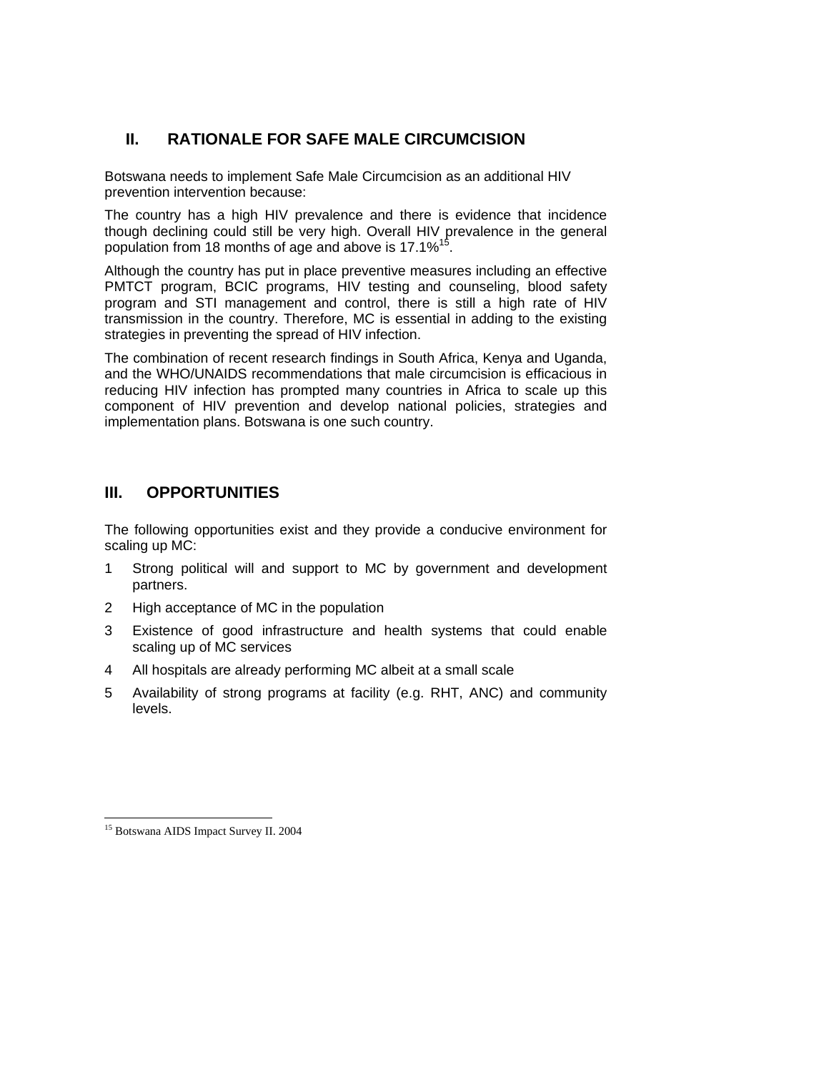# **II. RATIONALE FOR SAFE MALE CIRCUMCISION**

Botswana needs to implement Safe Male Circumcision as an additional HIV prevention intervention because:

The country has a high HIV prevalence and there is evidence that incidence though declining could still be very high. Overall HIV prevalence in the general population from 18 months of age and above is 17.1%<sup>15</sup>.

Although the country has put in place preventive measures including an effective PMTCT program, BCIC programs, HIV testing and counseling, blood safety program and STI management and control, there is still a high rate of HIV transmission in the country. Therefore, MC is essential in adding to the existing strategies in preventing the spread of HIV infection.

The combination of recent research findings in South Africa, Kenya and Uganda, and the WHO/UNAIDS recommendations that male circumcision is efficacious in reducing HIV infection has prompted many countries in Africa to scale up this component of HIV prevention and develop national policies, strategies and implementation plans. Botswana is one such country.

# **III. OPPORTUNITIES**

The following opportunities exist and they provide a conducive environment for scaling up MC:

- 1 Strong political will and support to MC by government and development partners.
- 2 High acceptance of MC in the population
- 3 Existence of good infrastructure and health systems that could enable scaling up of MC services
- 4 All hospitals are already performing MC albeit at a small scale
- 5 Availability of strong programs at facility (e.g. RHT, ANC) and community levels.

 $\overline{a}$ 

<sup>15</sup> Botswana AIDS Impact Survey II. 2004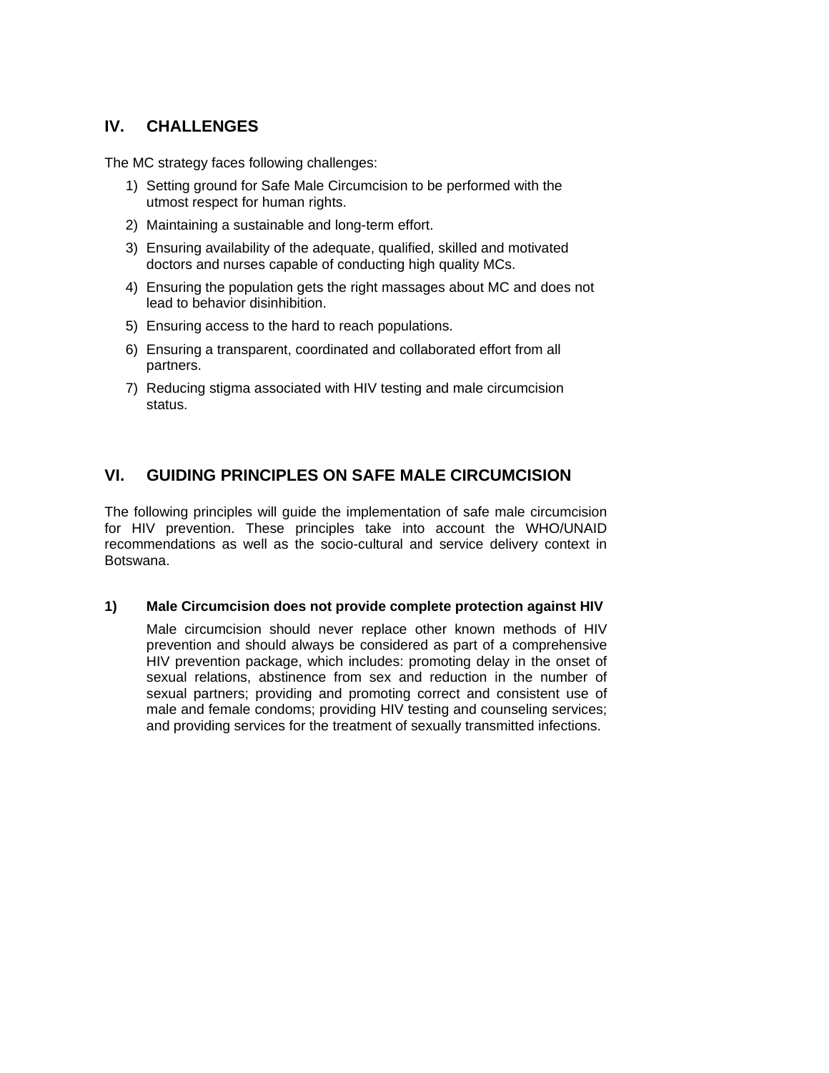# **IV. CHALLENGES**

The MC strategy faces following challenges:

- 1) Setting ground for Safe Male Circumcision to be performed with the utmost respect for human rights.
- 2) Maintaining a sustainable and long-term effort.
- 3) Ensuring availability of the adequate, qualified, skilled and motivated doctors and nurses capable of conducting high quality MCs.
- 4) Ensuring the population gets the right massages about MC and does not lead to behavior disinhibition.
- 5) Ensuring access to the hard to reach populations.
- 6) Ensuring a transparent, coordinated and collaborated effort from all partners.
- 7) Reducing stigma associated with HIV testing and male circumcision status.

# **VI. GUIDING PRINCIPLES ON SAFE MALE CIRCUMCISION**

The following principles will guide the implementation of safe male circumcision for HIV prevention. These principles take into account the WHO/UNAID recommendations as well as the socio-cultural and service delivery context in Botswana.

## **1) Male Circumcision does not provide complete protection against HIV**

Male circumcision should never replace other known methods of HIV prevention and should always be considered as part of a comprehensive HIV prevention package, which includes: promoting delay in the onset of sexual relations, abstinence from sex and reduction in the number of sexual partners; providing and promoting correct and consistent use of male and female condoms; providing HIV testing and counseling services; and providing services for the treatment of sexually transmitted infections.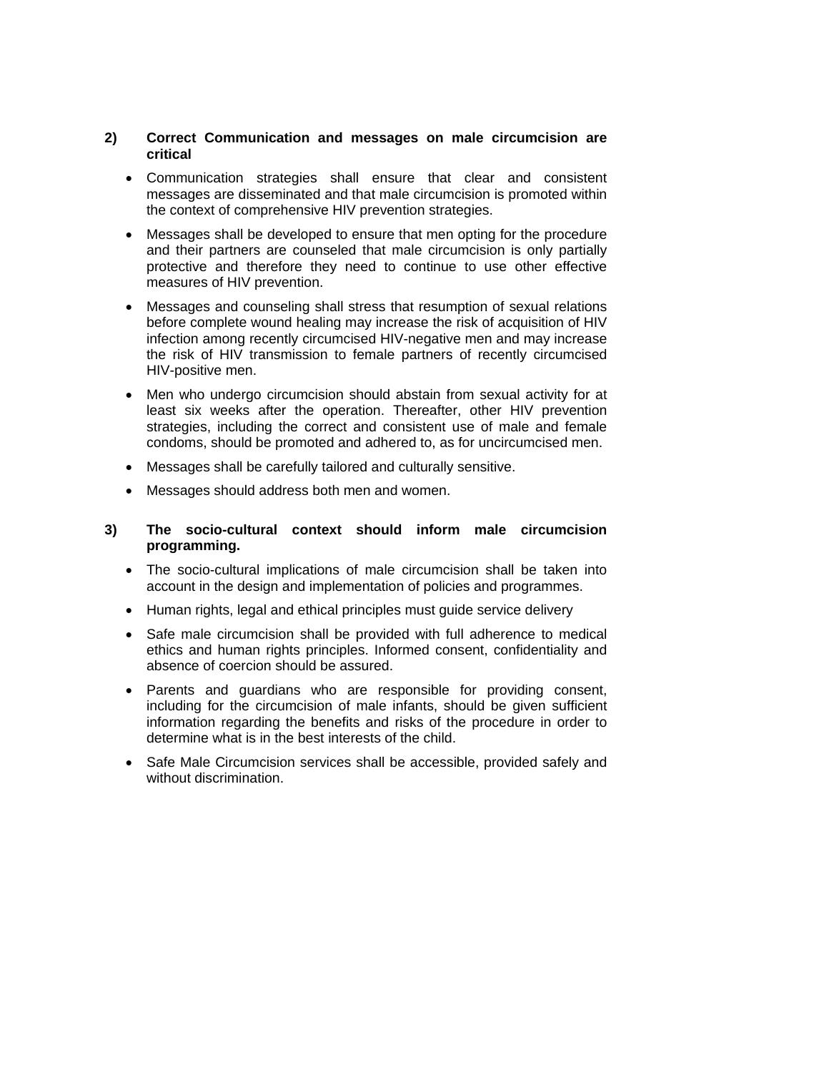#### **2) Correct Communication and messages on male circumcision are critical**

- Communication strategies shall ensure that clear and consistent messages are disseminated and that male circumcision is promoted within the context of comprehensive HIV prevention strategies.
- Messages shall be developed to ensure that men opting for the procedure and their partners are counseled that male circumcision is only partially protective and therefore they need to continue to use other effective measures of HIV prevention.
- Messages and counseling shall stress that resumption of sexual relations before complete wound healing may increase the risk of acquisition of HIV infection among recently circumcised HIV-negative men and may increase the risk of HIV transmission to female partners of recently circumcised HIV-positive men.
- Men who undergo circumcision should abstain from sexual activity for at least six weeks after the operation. Thereafter, other HIV prevention strategies, including the correct and consistent use of male and female condoms, should be promoted and adhered to, as for uncircumcised men.
- Messages shall be carefully tailored and culturally sensitive.
- Messages should address both men and women.

#### **3) The socio-cultural context should inform male circumcision programming.**

- The socio-cultural implications of male circumcision shall be taken into account in the design and implementation of policies and programmes.
- Human rights, legal and ethical principles must guide service delivery
- Safe male circumcision shall be provided with full adherence to medical ethics and human rights principles. Informed consent, confidentiality and absence of coercion should be assured.
- Parents and guardians who are responsible for providing consent, including for the circumcision of male infants, should be given sufficient information regarding the benefits and risks of the procedure in order to determine what is in the best interests of the child.
- Safe Male Circumcision services shall be accessible, provided safely and without discrimination.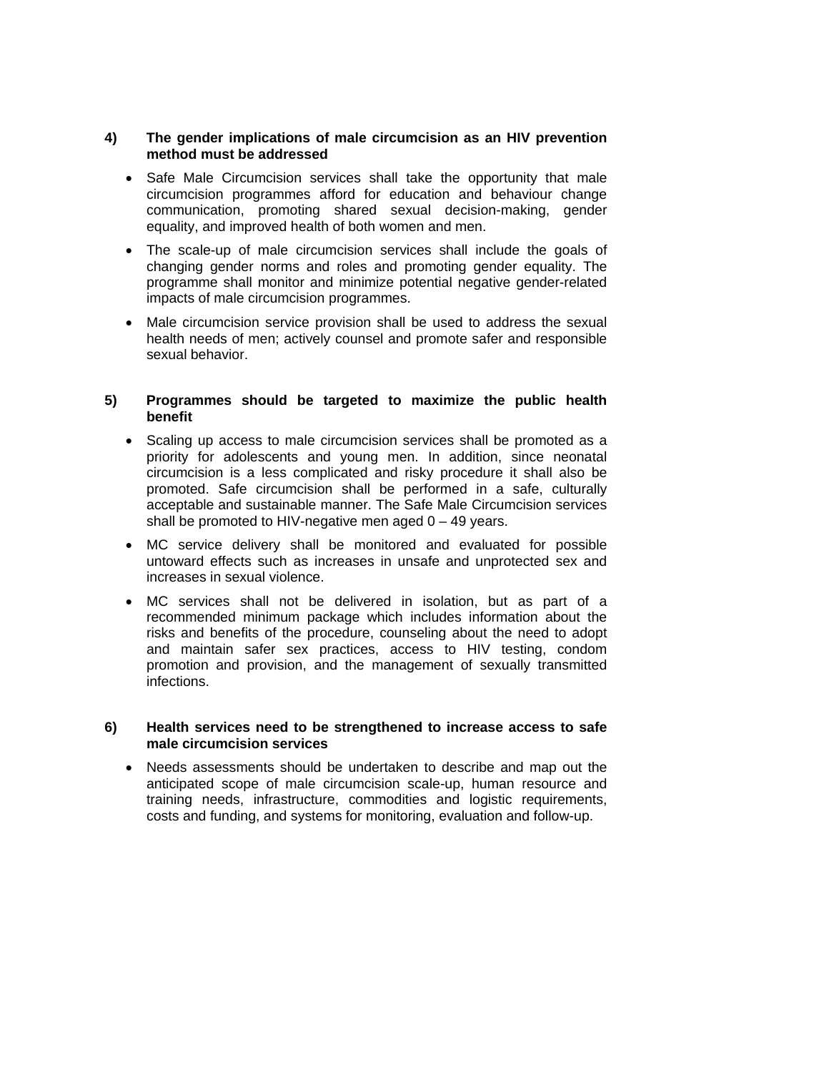#### **4) The gender implications of male circumcision as an HIV prevention method must be addressed**

- Safe Male Circumcision services shall take the opportunity that male circumcision programmes afford for education and behaviour change communication, promoting shared sexual decision-making, gender equality, and improved health of both women and men.
- The scale-up of male circumcision services shall include the goals of changing gender norms and roles and promoting gender equality. The programme shall monitor and minimize potential negative gender-related impacts of male circumcision programmes.
- Male circumcision service provision shall be used to address the sexual health needs of men; actively counsel and promote safer and responsible sexual behavior.

#### **5) Programmes should be targeted to maximize the public health benefit**

- Scaling up access to male circumcision services shall be promoted as a priority for adolescents and young men. In addition, since neonatal circumcision is a less complicated and risky procedure it shall also be promoted. Safe circumcision shall be performed in a safe, culturally acceptable and sustainable manner. The Safe Male Circumcision services shall be promoted to HIV-negative men aged  $0 - 49$  years.
- MC service delivery shall be monitored and evaluated for possible untoward effects such as increases in unsafe and unprotected sex and increases in sexual violence.
- MC services shall not be delivered in isolation, but as part of a recommended minimum package which includes information about the risks and benefits of the procedure, counseling about the need to adopt and maintain safer sex practices, access to HIV testing, condom promotion and provision, and the management of sexually transmitted infections.

#### **6) Health services need to be strengthened to increase access to safe male circumcision services**

• Needs assessments should be undertaken to describe and map out the anticipated scope of male circumcision scale-up, human resource and training needs, infrastructure, commodities and logistic requirements, costs and funding, and systems for monitoring, evaluation and follow-up.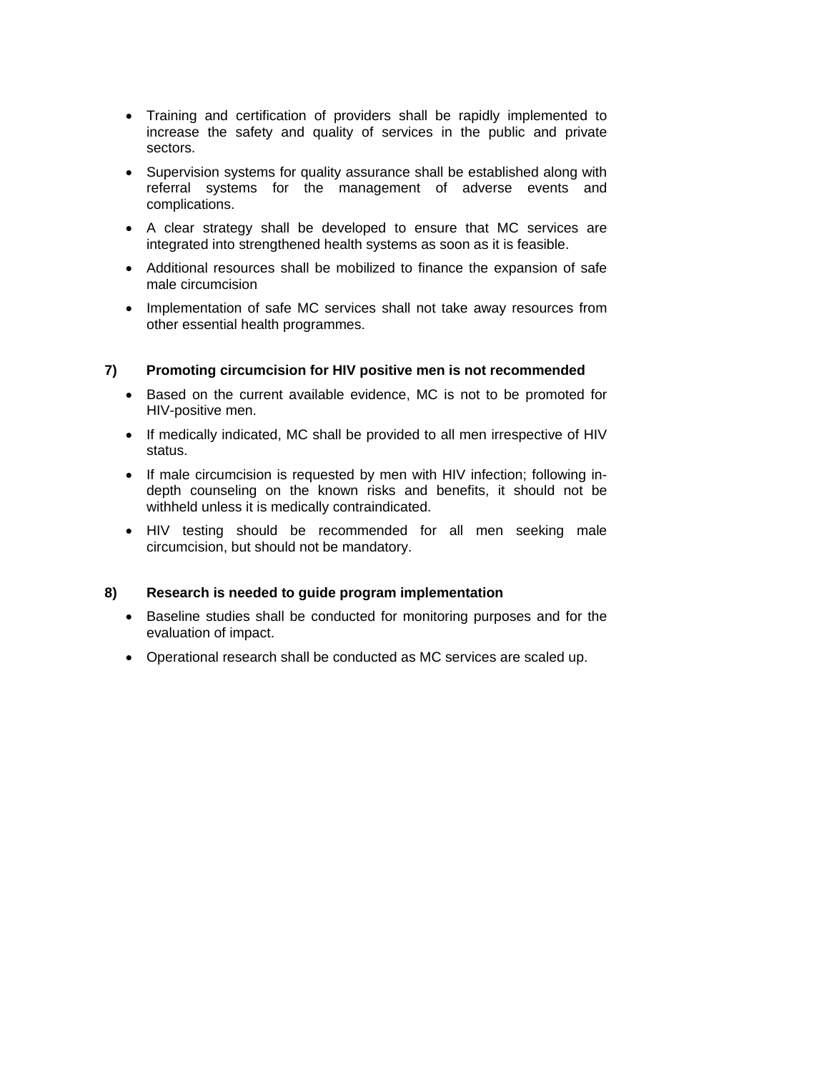- Training and certification of providers shall be rapidly implemented to increase the safety and quality of services in the public and private sectors.
- Supervision systems for quality assurance shall be established along with referral systems for the management of adverse events and complications.
- A clear strategy shall be developed to ensure that MC services are integrated into strengthened health systems as soon as it is feasible.
- Additional resources shall be mobilized to finance the expansion of safe male circumcision
- Implementation of safe MC services shall not take away resources from other essential health programmes.

#### **7) Promoting circumcision for HIV positive men is not recommended**

- Based on the current available evidence, MC is not to be promoted for HIV-positive men.
- If medically indicated, MC shall be provided to all men irrespective of HIV status.
- If male circumcision is requested by men with HIV infection; following indepth counseling on the known risks and benefits, it should not be withheld unless it is medically contraindicated.
- HIV testing should be recommended for all men seeking male circumcision, but should not be mandatory.

## **8) Research is needed to guide program implementation**

- Baseline studies shall be conducted for monitoring purposes and for the evaluation of impact.
- Operational research shall be conducted as MC services are scaled up.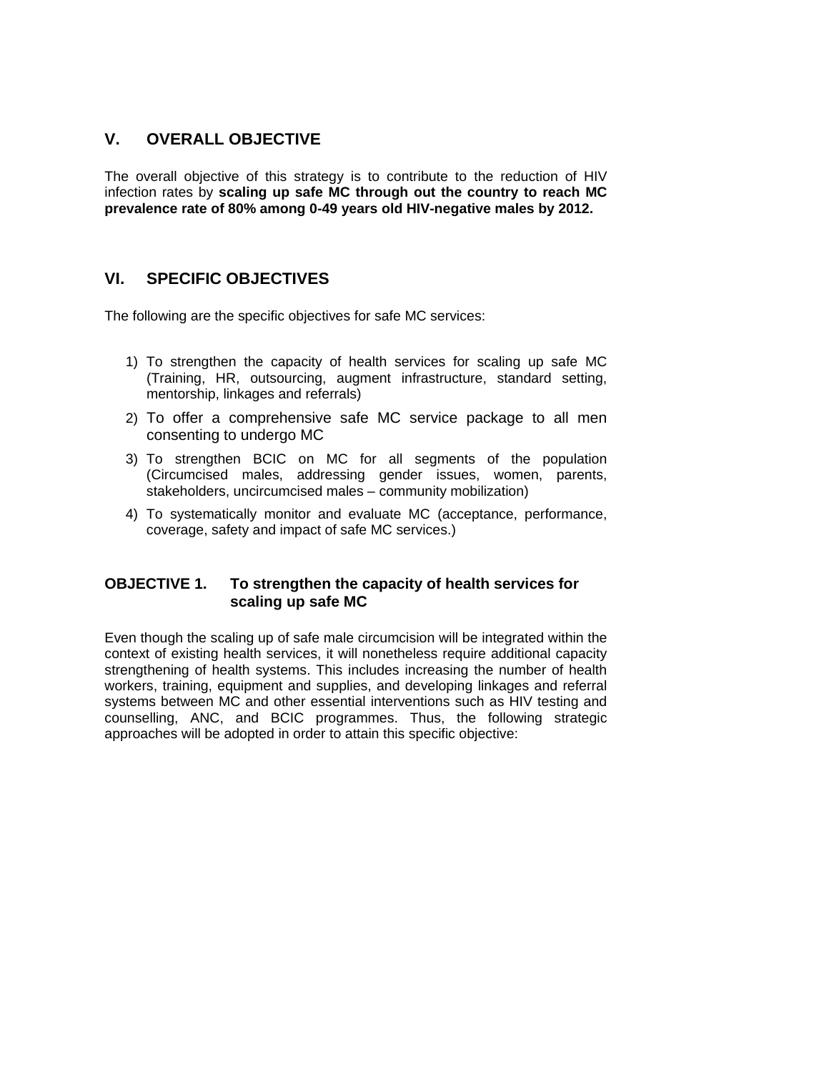# **V. OVERALL OBJECTIVE**

The overall objective of this strategy is to contribute to the reduction of HIV infection rates by **scaling up safe MC through out the country to reach MC prevalence rate of 80% among 0-49 years old HIV-negative males by 2012.**

# **VI. SPECIFIC OBJECTIVES**

The following are the specific objectives for safe MC services:

- 1) To strengthen the capacity of health services for scaling up safe MC (Training, HR, outsourcing, augment infrastructure, standard setting, mentorship, linkages and referrals)
- 2) To offer a comprehensive safe MC service package to all men consenting to undergo MC
- 3) To strengthen BCIC on MC for all segments of the population (Circumcised males, addressing gender issues, women, parents, stakeholders, uncircumcised males – community mobilization)
- 4) To systematically monitor and evaluate MC (acceptance, performance, coverage, safety and impact of safe MC services.)

# **OBJECTIVE 1. To strengthen the capacity of health services for scaling up safe MC**

Even though the scaling up of safe male circumcision will be integrated within the context of existing health services, it will nonetheless require additional capacity strengthening of health systems. This includes increasing the number of health workers, training, equipment and supplies, and developing linkages and referral systems between MC and other essential interventions such as HIV testing and counselling, ANC, and BCIC programmes. Thus, the following strategic approaches will be adopted in order to attain this specific objective: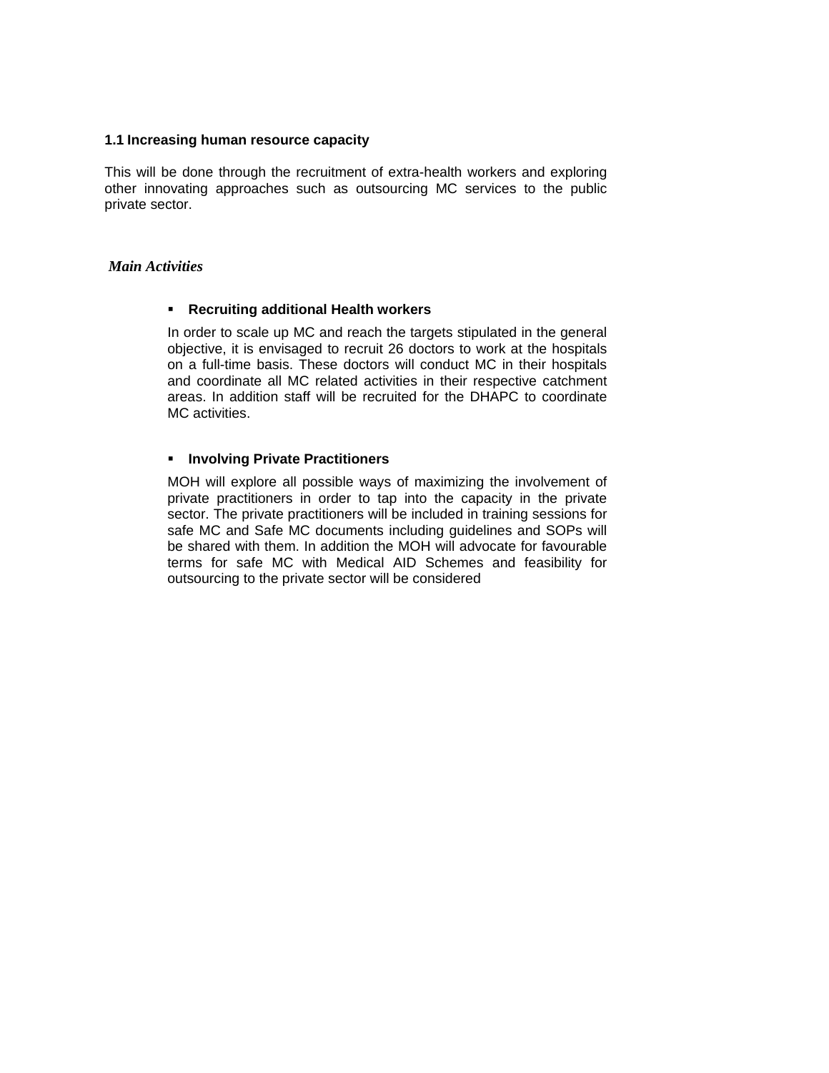#### **1.1 Increasing human resource capacity**

This will be done through the recruitment of extra-health workers and exploring other innovating approaches such as outsourcing MC services to the public private sector.

#### *Main Activities*

#### **Recruiting additional Health workers**

In order to scale up MC and reach the targets stipulated in the general objective, it is envisaged to recruit 26 doctors to work at the hospitals on a full-time basis. These doctors will conduct MC in their hospitals and coordinate all MC related activities in their respective catchment areas. In addition staff will be recruited for the DHAPC to coordinate MC activities.

#### **Involving Private Practitioners**

MOH will explore all possible ways of maximizing the involvement of private practitioners in order to tap into the capacity in the private sector. The private practitioners will be included in training sessions for safe MC and Safe MC documents including guidelines and SOPs will be shared with them. In addition the MOH will advocate for favourable terms for safe MC with Medical AID Schemes and feasibility for outsourcing to the private sector will be considered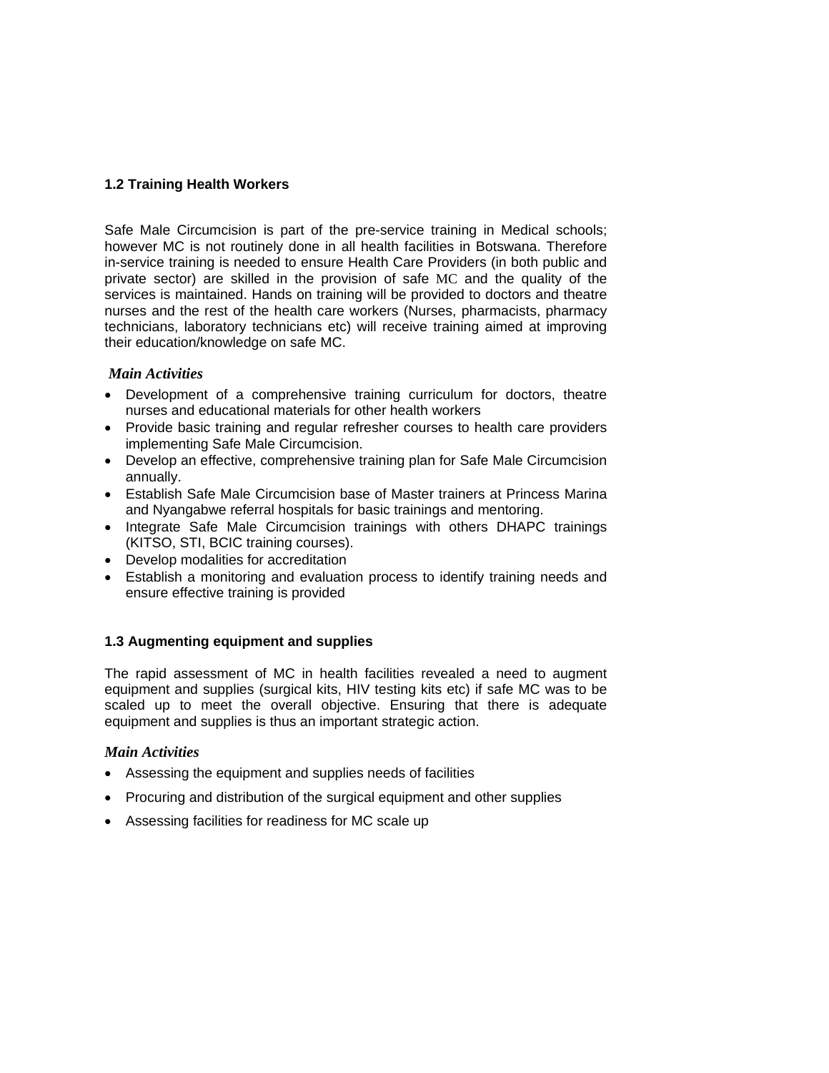## **1.2 Training Health Workers**

Safe Male Circumcision is part of the pre-service training in Medical schools; however MC is not routinely done in all health facilities in Botswana. Therefore in-service training is needed to ensure Health Care Providers (in both public and private sector) are skilled in the provision of safe MC and the quality of the services is maintained. Hands on training will be provided to doctors and theatre nurses and the rest of the health care workers (Nurses, pharmacists, pharmacy technicians, laboratory technicians etc) will receive training aimed at improving their education/knowledge on safe MC.

## *Main Activities*

- Development of a comprehensive training curriculum for doctors, theatre nurses and educational materials for other health workers
- Provide basic training and regular refresher courses to health care providers implementing Safe Male Circumcision.
- Develop an effective, comprehensive training plan for Safe Male Circumcision annually.
- Establish Safe Male Circumcision base of Master trainers at Princess Marina and Nyangabwe referral hospitals for basic trainings and mentoring.
- Integrate Safe Male Circumcision trainings with others DHAPC trainings (KITSO, STI, BCIC training courses).
- Develop modalities for accreditation
- Establish a monitoring and evaluation process to identify training needs and ensure effective training is provided

## **1.3 Augmenting equipment and supplies**

The rapid assessment of MC in health facilities revealed a need to augment equipment and supplies (surgical kits, HIV testing kits etc) if safe MC was to be scaled up to meet the overall objective. Ensuring that there is adequate equipment and supplies is thus an important strategic action.

## *Main Activities*

- Assessing the equipment and supplies needs of facilities
- Procuring and distribution of the surgical equipment and other supplies
- Assessing facilities for readiness for MC scale up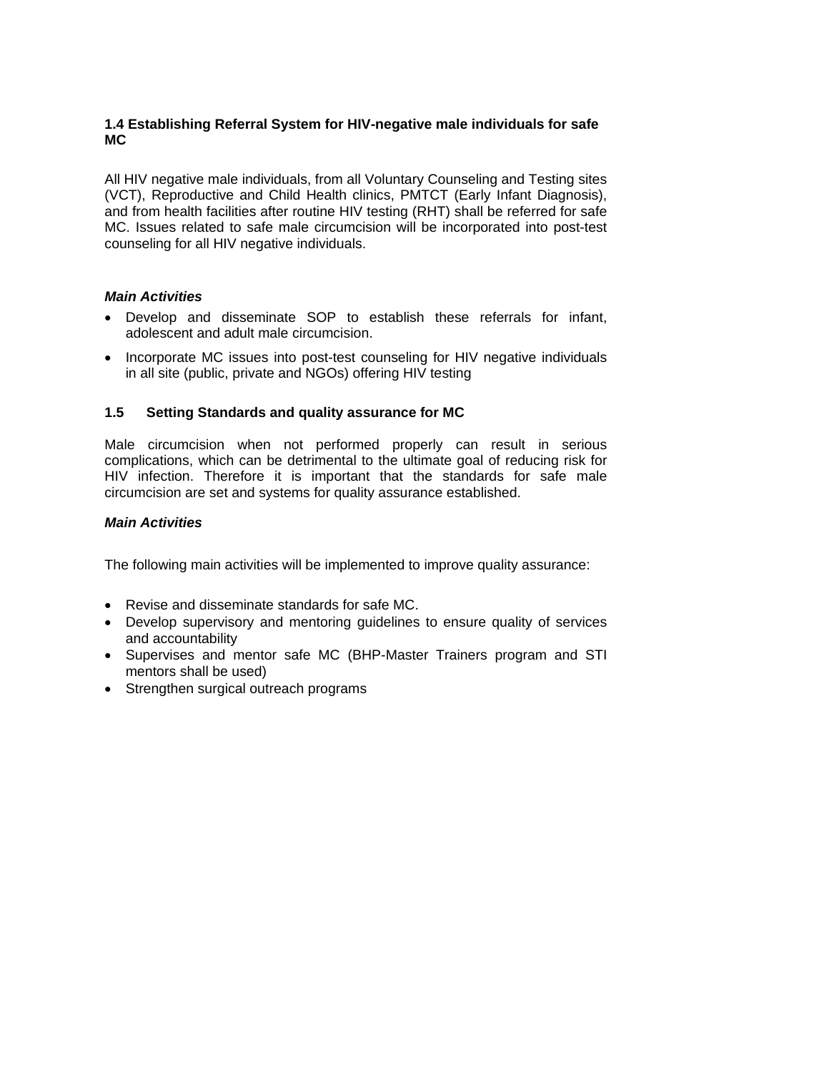## **1.4 Establishing Referral System for HIV-negative male individuals for safe MC**

All HIV negative male individuals, from all Voluntary Counseling and Testing sites (VCT), Reproductive and Child Health clinics, PMTCT (Early Infant Diagnosis), and from health facilities after routine HIV testing (RHT) shall be referred for safe MC. Issues related to safe male circumcision will be incorporated into post-test counseling for all HIV negative individuals.

## *Main Activities*

- Develop and disseminate SOP to establish these referrals for infant, adolescent and adult male circumcision.
- Incorporate MC issues into post-test counseling for HIV negative individuals in all site (public, private and NGOs) offering HIV testing

## **1.5 Setting Standards and quality assurance for MC**

Male circumcision when not performed properly can result in serious complications, which can be detrimental to the ultimate goal of reducing risk for HIV infection. Therefore it is important that the standards for safe male circumcision are set and systems for quality assurance established.

## *Main Activities*

The following main activities will be implemented to improve quality assurance:

- Revise and disseminate standards for safe MC.
- Develop supervisory and mentoring guidelines to ensure quality of services and accountability
- Supervises and mentor safe MC (BHP-Master Trainers program and STI mentors shall be used)
- Strengthen surgical outreach programs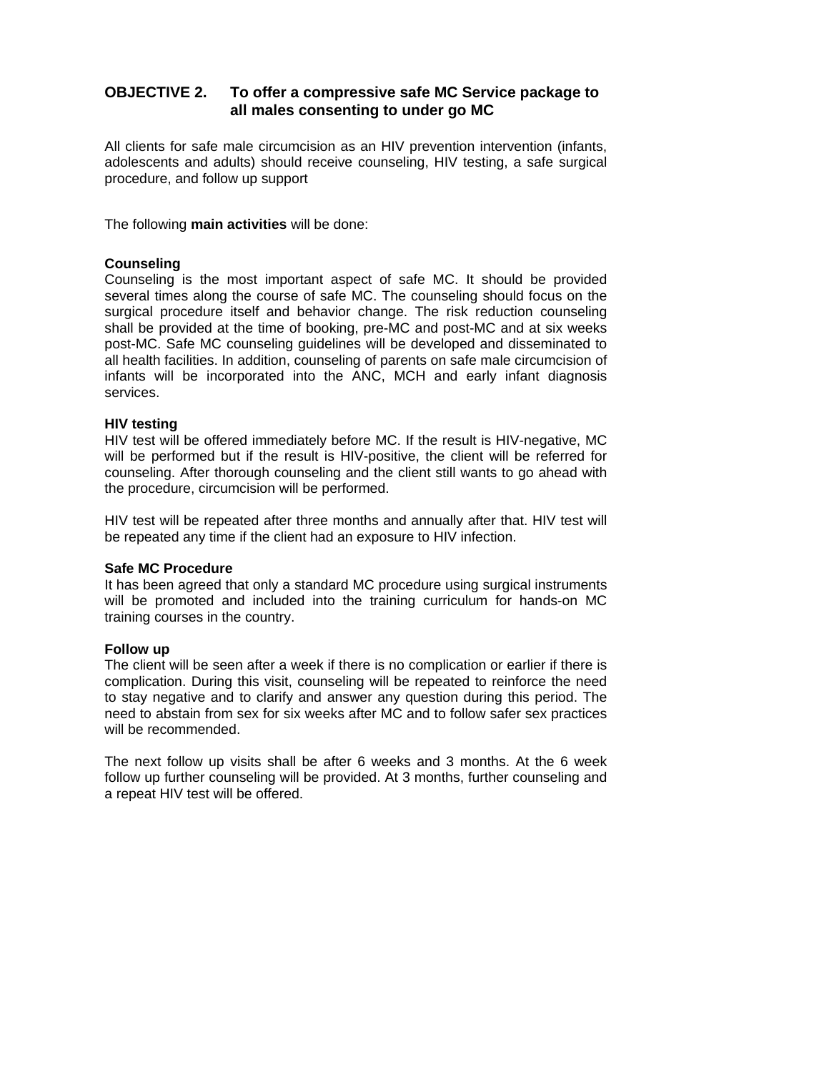# **OBJECTIVE 2. To offer a compressive safe MC Service package to all males consenting to under go MC**

All clients for safe male circumcision as an HIV prevention intervention (infants, adolescents and adults) should receive counseling, HIV testing, a safe surgical procedure, and follow up support

The following **main activities** will be done:

#### **Counseling**

Counseling is the most important aspect of safe MC. It should be provided several times along the course of safe MC. The counseling should focus on the surgical procedure itself and behavior change. The risk reduction counseling shall be provided at the time of booking, pre-MC and post-MC and at six weeks post-MC. Safe MC counseling guidelines will be developed and disseminated to all health facilities. In addition, counseling of parents on safe male circumcision of infants will be incorporated into the ANC, MCH and early infant diagnosis services.

#### **HIV testing**

HIV test will be offered immediately before MC. If the result is HIV-negative, MC will be performed but if the result is HIV-positive, the client will be referred for counseling. After thorough counseling and the client still wants to go ahead with the procedure, circumcision will be performed.

HIV test will be repeated after three months and annually after that. HIV test will be repeated any time if the client had an exposure to HIV infection.

#### **Safe MC Procedure**

It has been agreed that only a standard MC procedure using surgical instruments will be promoted and included into the training curriculum for hands-on MC training courses in the country.

#### **Follow up**

The client will be seen after a week if there is no complication or earlier if there is complication. During this visit, counseling will be repeated to reinforce the need to stay negative and to clarify and answer any question during this period. The need to abstain from sex for six weeks after MC and to follow safer sex practices will be recommended.

The next follow up visits shall be after 6 weeks and 3 months. At the 6 week follow up further counseling will be provided. At 3 months, further counseling and a repeat HIV test will be offered.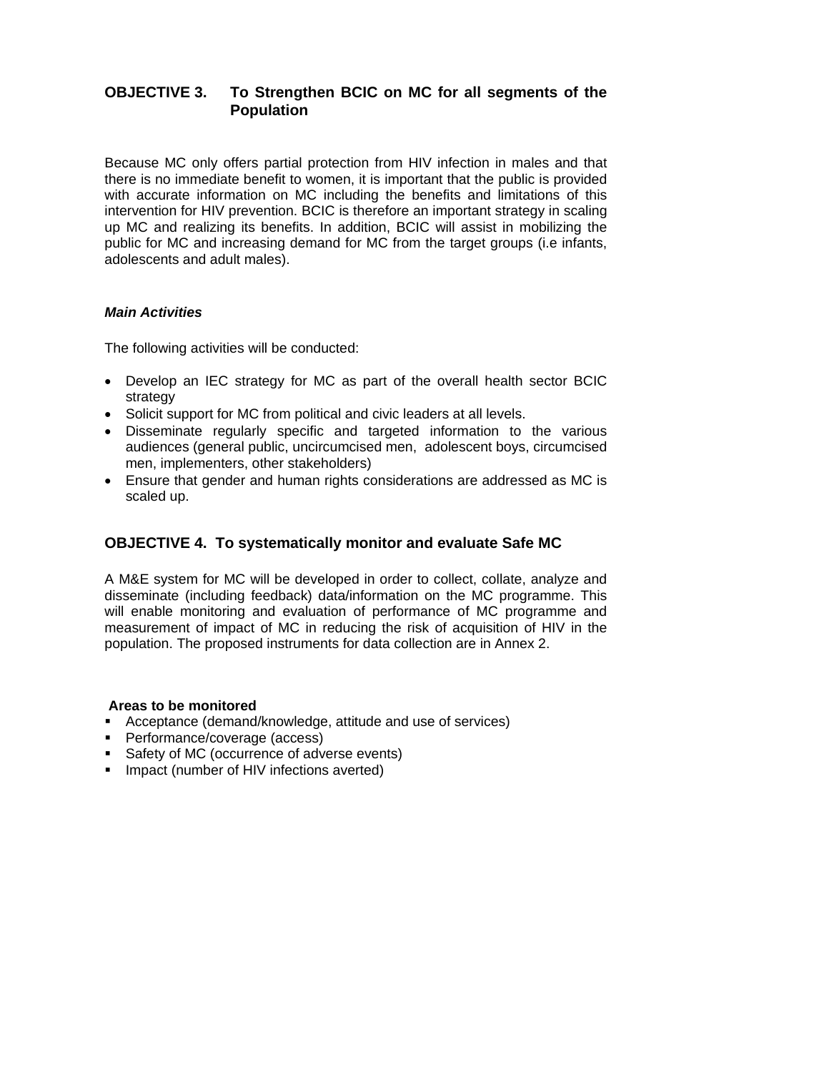# **OBJECTIVE 3. To Strengthen BCIC on MC for all segments of the Population**

Because MC only offers partial protection from HIV infection in males and that there is no immediate benefit to women, it is important that the public is provided with accurate information on MC including the benefits and limitations of this intervention for HIV prevention. BCIC is therefore an important strategy in scaling up MC and realizing its benefits. In addition, BCIC will assist in mobilizing the public for MC and increasing demand for MC from the target groups (i.e infants, adolescents and adult males).

## *Main Activities*

The following activities will be conducted:

- Develop an IEC strategy for MC as part of the overall health sector BCIC strategy
- Solicit support for MC from political and civic leaders at all levels.
- Disseminate regularly specific and targeted information to the various audiences (general public, uncircumcised men, adolescent boys, circumcised men, implementers, other stakeholders)
- Ensure that gender and human rights considerations are addressed as MC is scaled up.

# **OBJECTIVE 4. To systematically monitor and evaluate Safe MC**

A M&E system for MC will be developed in order to collect, collate, analyze and disseminate (including feedback) data/information on the MC programme. This will enable monitoring and evaluation of performance of MC programme and measurement of impact of MC in reducing the risk of acquisition of HIV in the population. The proposed instruments for data collection are in Annex 2.

#### **Areas to be monitored**

- Acceptance (demand/knowledge, attitude and use of services)
- **Performance/coverage (access)**
- Safety of MC (occurrence of adverse events)
- **Impact (number of HIV infections averted)**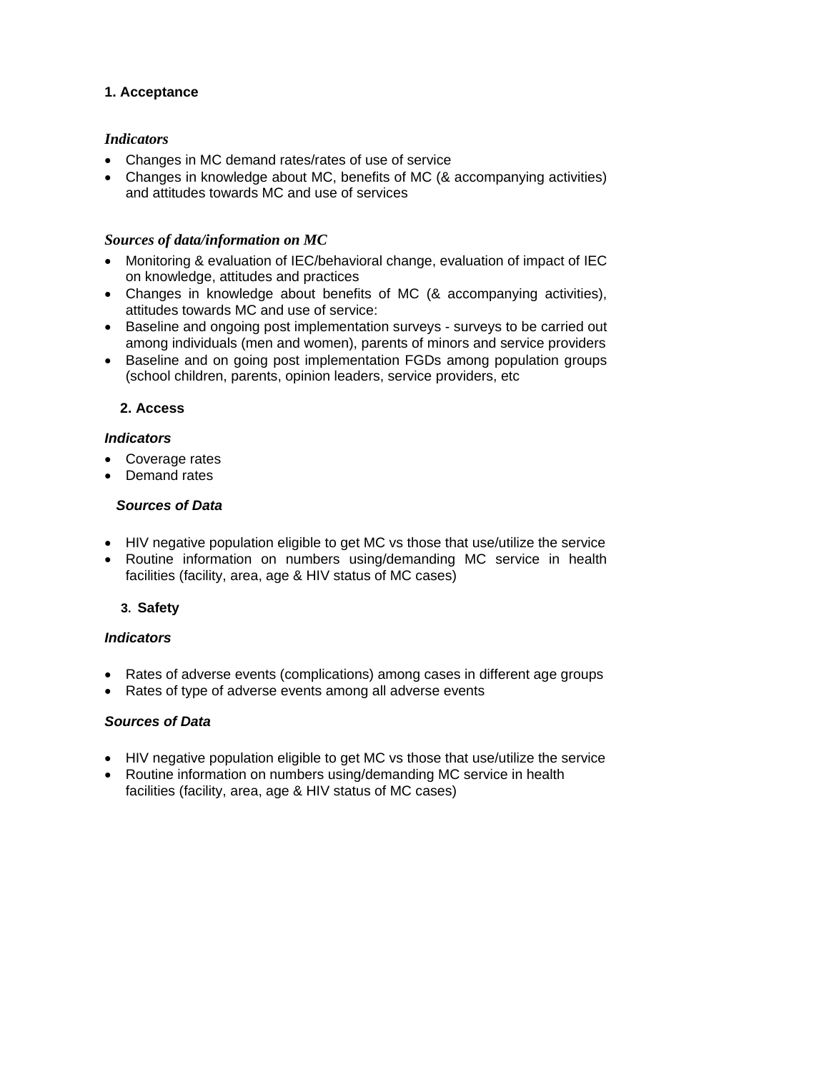## **1. Acceptance**

## *Indicators*

- Changes in MC demand rates/rates of use of service
- Changes in knowledge about MC, benefits of MC (& accompanying activities) and attitudes towards MC and use of services

# *Sources of data/information on MC*

- Monitoring & evaluation of IEC/behavioral change, evaluation of impact of IEC on knowledge, attitudes and practices
- Changes in knowledge about benefits of MC (& accompanying activities), attitudes towards MC and use of service:
- Baseline and ongoing post implementation surveys surveys to be carried out among individuals (men and women), parents of minors and service providers
- Baseline and on going post implementation FGDs among population groups (school children, parents, opinion leaders, service providers, etc

# **2. Access**

# *Indicators*

- Coverage rates
- Demand rates

## *Sources of Data*

- HIV negative population eligible to get MC vs those that use/utilize the service
- Routine information on numbers using/demanding MC service in health facilities (facility, area, age & HIV status of MC cases)

# **3. Safety**

## *Indicators*

- Rates of adverse events (complications) among cases in different age groups
- Rates of type of adverse events among all adverse events

## *Sources of Data*

- HIV negative population eligible to get MC vs those that use/utilize the service
- Routine information on numbers using/demanding MC service in health facilities (facility, area, age & HIV status of MC cases)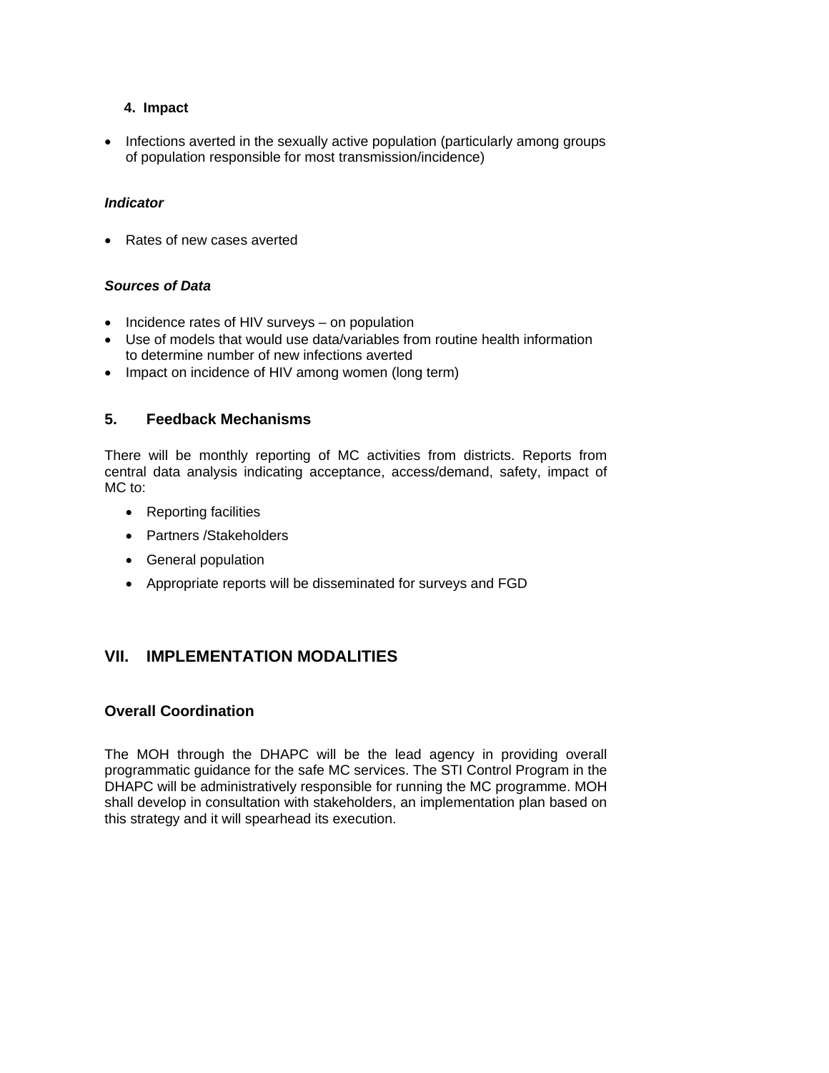## **4. Impact**

• Infections averted in the sexually active population (particularly among groups of population responsible for most transmission/incidence)

#### *Indicator*

• Rates of new cases averted

#### *Sources of Data*

- Incidence rates of HIV surveys on population
- Use of models that would use data/variables from routine health information to determine number of new infections averted
- Impact on incidence of HIV among women (long term)

## **5. Feedback Mechanisms**

There will be monthly reporting of MC activities from districts. Reports from central data analysis indicating acceptance, access/demand, safety, impact of MC to:

- Reporting facilities
- Partners /Stakeholders
- General population
- Appropriate reports will be disseminated for surveys and FGD

# **VII. IMPLEMENTATION MODALITIES**

## **Overall Coordination**

The MOH through the DHAPC will be the lead agency in providing overall programmatic guidance for the safe MC services. The STI Control Program in the DHAPC will be administratively responsible for running the MC programme. MOH shall develop in consultation with stakeholders, an implementation plan based on this strategy and it will spearhead its execution.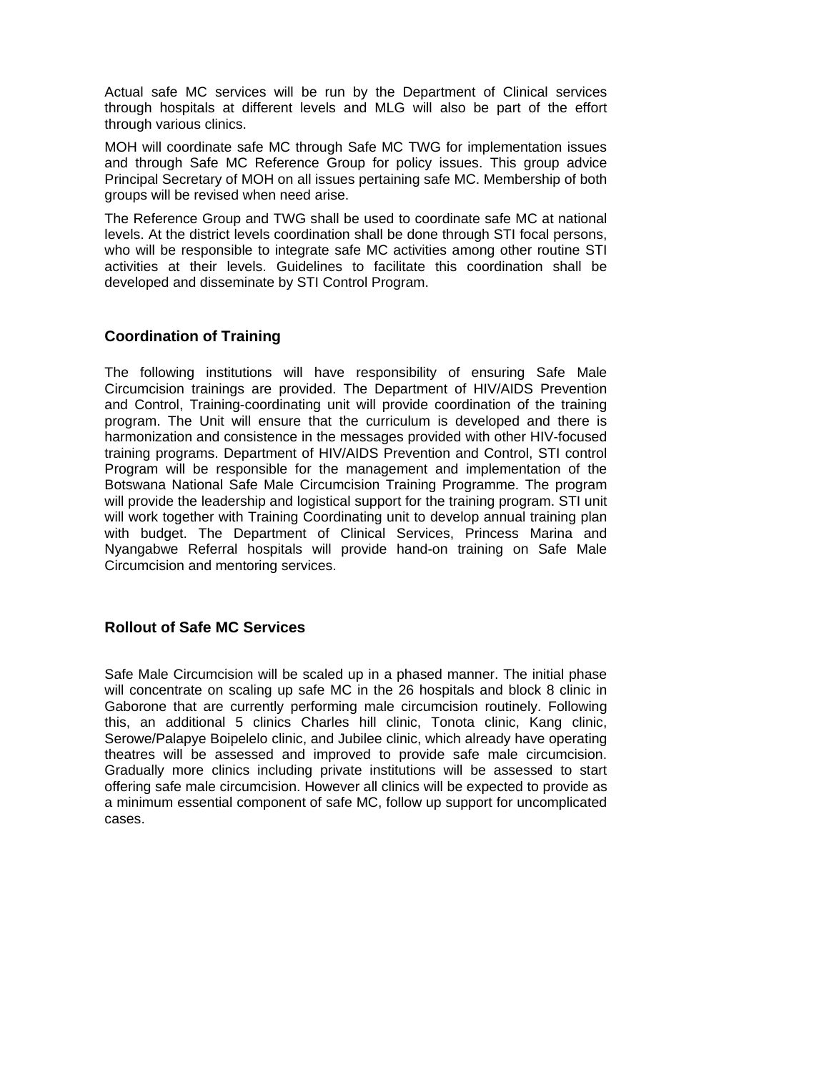Actual safe MC services will be run by the Department of Clinical services through hospitals at different levels and MLG will also be part of the effort through various clinics.

MOH will coordinate safe MC through Safe MC TWG for implementation issues and through Safe MC Reference Group for policy issues. This group advice Principal Secretary of MOH on all issues pertaining safe MC. Membership of both groups will be revised when need arise.

The Reference Group and TWG shall be used to coordinate safe MC at national levels. At the district levels coordination shall be done through STI focal persons, who will be responsible to integrate safe MC activities among other routine STI activities at their levels. Guidelines to facilitate this coordination shall be developed and disseminate by STI Control Program.

# **Coordination of Training**

The following institutions will have responsibility of ensuring Safe Male Circumcision trainings are provided. The Department of HIV/AIDS Prevention and Control, Training-coordinating unit will provide coordination of the training program. The Unit will ensure that the curriculum is developed and there is harmonization and consistence in the messages provided with other HIV-focused training programs. Department of HIV/AIDS Prevention and Control, STI control Program will be responsible for the management and implementation of the Botswana National Safe Male Circumcision Training Programme. The program will provide the leadership and logistical support for the training program. STI unit will work together with Training Coordinating unit to develop annual training plan with budget. The Department of Clinical Services, Princess Marina and Nyangabwe Referral hospitals will provide hand-on training on Safe Male Circumcision and mentoring services.

## **Rollout of Safe MC Services**

Safe Male Circumcision will be scaled up in a phased manner. The initial phase will concentrate on scaling up safe MC in the 26 hospitals and block 8 clinic in Gaborone that are currently performing male circumcision routinely. Following this, an additional 5 clinics Charles hill clinic, Tonota clinic, Kang clinic, Serowe/Palapye Boipelelo clinic, and Jubilee clinic, which already have operating theatres will be assessed and improved to provide safe male circumcision. Gradually more clinics including private institutions will be assessed to start offering safe male circumcision. However all clinics will be expected to provide as a minimum essential component of safe MC, follow up support for uncomplicated cases.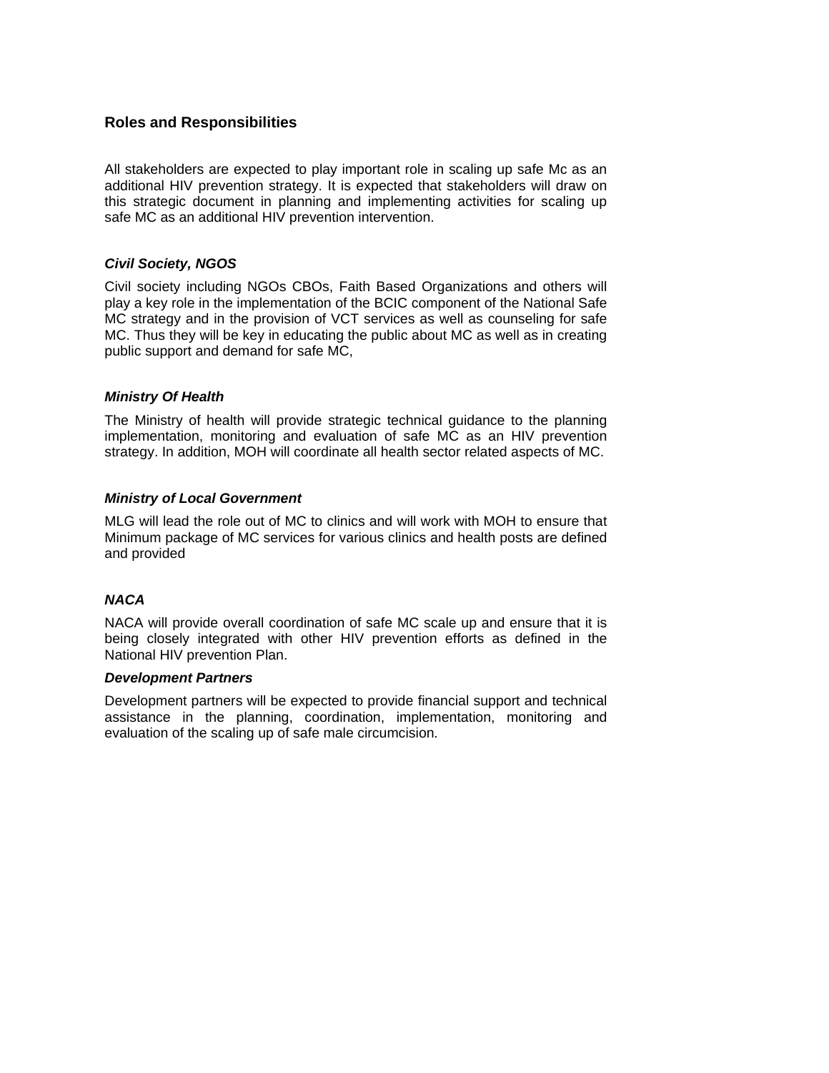## **Roles and Responsibilities**

All stakeholders are expected to play important role in scaling up safe Mc as an additional HIV prevention strategy. It is expected that stakeholders will draw on this strategic document in planning and implementing activities for scaling up safe MC as an additional HIV prevention intervention.

## *Civil Society, NGOS*

Civil society including NGOs CBOs, Faith Based Organizations and others will play a key role in the implementation of the BCIC component of the National Safe MC strategy and in the provision of VCT services as well as counseling for safe MC. Thus they will be key in educating the public about MC as well as in creating public support and demand for safe MC,

#### *Ministry Of Health*

The Ministry of health will provide strategic technical guidance to the planning implementation, monitoring and evaluation of safe MC as an HIV prevention strategy. In addition, MOH will coordinate all health sector related aspects of MC.

#### *Ministry of Local Government*

MLG will lead the role out of MC to clinics and will work with MOH to ensure that Minimum package of MC services for various clinics and health posts are defined and provided

## *NACA*

NACA will provide overall coordination of safe MC scale up and ensure that it is being closely integrated with other HIV prevention efforts as defined in the National HIV prevention Plan.

#### *Development Partners*

Development partners will be expected to provide financial support and technical assistance in the planning, coordination, implementation, monitoring and evaluation of the scaling up of safe male circumcision.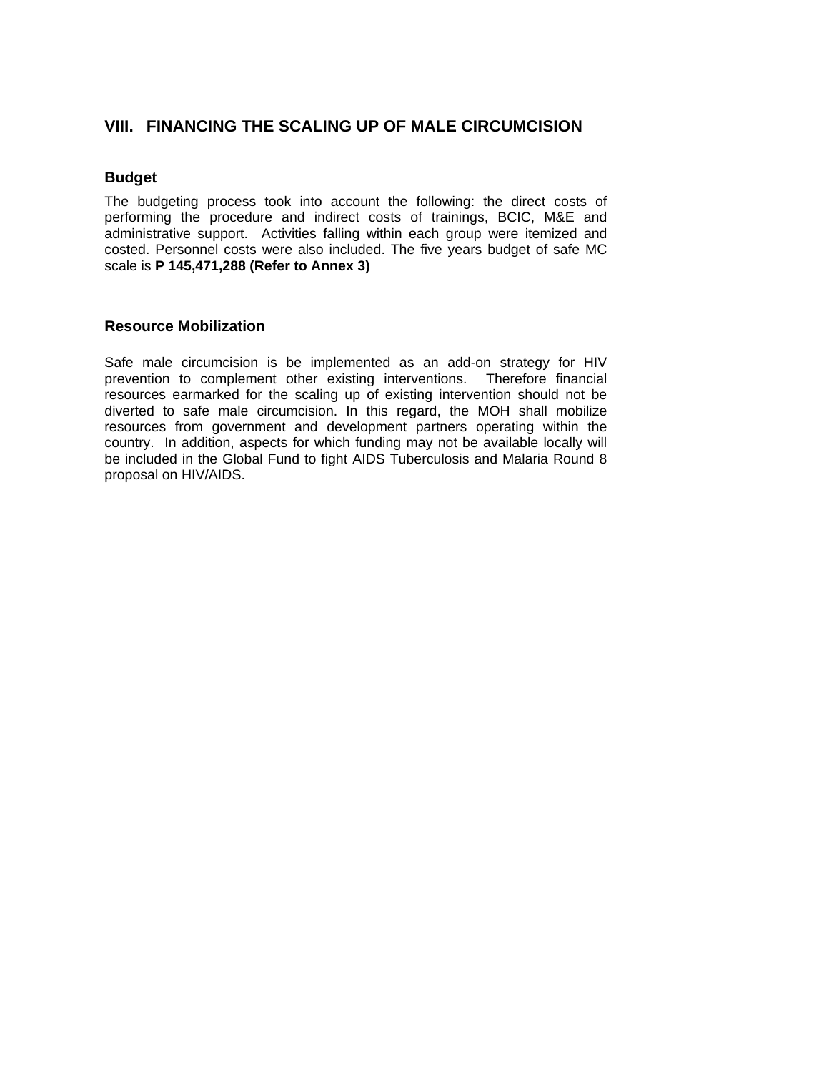# **VIII. FINANCING THE SCALING UP OF MALE CIRCUMCISION**

## **Budget**

The budgeting process took into account the following: the direct costs of performing the procedure and indirect costs of trainings, BCIC, M&E and administrative support. Activities falling within each group were itemized and costed. Personnel costs were also included. The five years budget of safe MC scale is **P 145,471,288 (Refer to Annex 3)** 

## **Resource Mobilization**

Safe male circumcision is be implemented as an add-on strategy for HIV prevention to complement other existing interventions. Therefore financial resources earmarked for the scaling up of existing intervention should not be diverted to safe male circumcision. In this regard, the MOH shall mobilize resources from government and development partners operating within the country. In addition, aspects for which funding may not be available locally will be included in the Global Fund to fight AIDS Tuberculosis and Malaria Round 8 proposal on HIV/AIDS.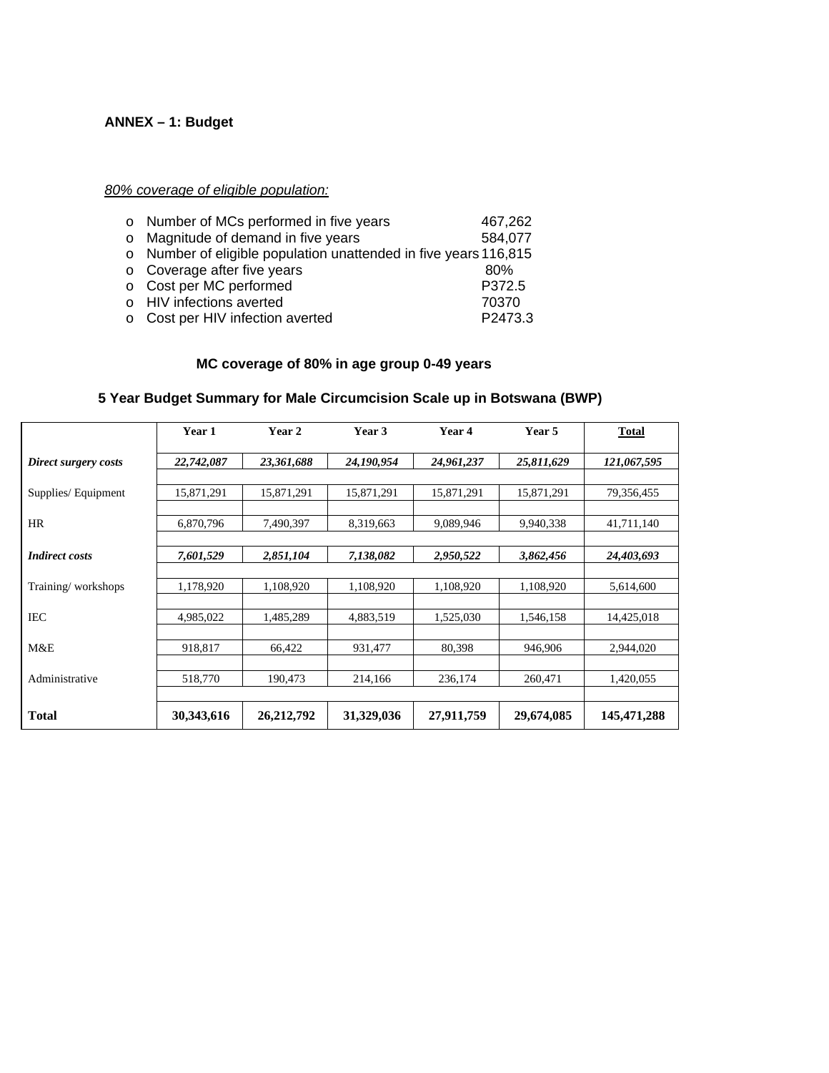# **ANNEX – 1: Budget**

*80% coverage of eligible population:* 

| o Number of MCs performed in five years                          | 467,262 |
|------------------------------------------------------------------|---------|
| o Magnitude of demand in five years                              | 584,077 |
| o Number of eligible population unattended in five years 116,815 |         |
| o Coverage after five years                                      | 80%     |
| o Cost per MC performed                                          | P372.5  |
| o HIV infections averted                                         | 70370   |
| ○ Cost per HIV infection averted                                 | P2473.3 |

# **MC coverage of 80% in age group 0-49 years**

|                       | Year 1     | Year 2       | Year 3     | Year 4     | Year 5     | <b>Total</b>  |
|-----------------------|------------|--------------|------------|------------|------------|---------------|
| Direct surgery costs  | 22,742,087 | 23,361,688   | 24,190,954 | 24,961,237 | 25,811,629 | 121,067,595   |
| Supplies/Equipment    | 15,871,291 | 15,871,291   | 15,871,291 | 15,871,291 | 15,871,291 | 79,356,455    |
| <b>HR</b>             | 6,870,796  | 7,490,397    | 8,319,663  | 9,089,946  | 9,940,338  | 41,711,140    |
| <b>Indirect costs</b> | 7,601,529  | 2,851,104    | 7,138,082  | 2,950,522  | 3,862,456  | 24,403,693    |
| Training/workshops    | 1,178,920  | 1,108,920    | 1,108,920  | 1,108,920  | 1,108,920  | 5,614,600     |
| <b>IEC</b>            | 4,985,022  | 1,485,289    | 4,883,519  | 1,525,030  | 1,546,158  | 14,425,018    |
| M&E                   | 918,817    | 66,422       | 931,477    | 80,398     | 946,906    | 2.944,020     |
| Administrative        | 518,770    | 190,473      | 214,166    | 236,174    | 260,471    | 1,420,055     |
| Total                 | 30,343,616 | 26, 212, 792 | 31,329,036 | 27,911,759 | 29,674,085 | 145, 471, 288 |

# **5 Year Budget Summary for Male Circumcision Scale up in Botswana (BWP)**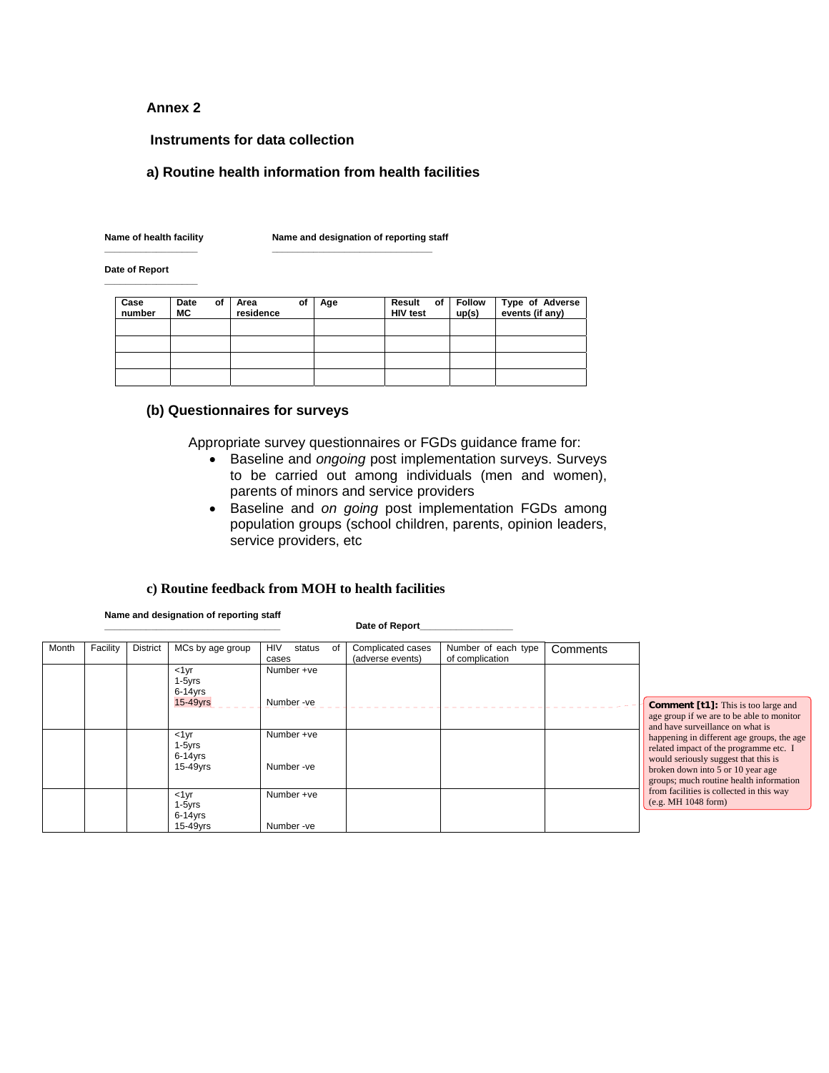#### **Annex 2**

#### **Instruments for data collection**

**\_\_\_\_\_\_\_\_\_\_\_\_\_\_\_\_\_\_ \_\_\_\_\_\_\_\_\_\_\_\_\_\_\_\_\_\_\_\_\_\_\_\_\_\_\_\_\_\_\_** 

#### **a) Routine health information from health facilities**

**\_\_\_\_\_\_\_\_\_\_\_\_\_\_\_\_\_\_** 

Name of health facility **Name and designation of reporting staff** 

**Date of Report** 

| Case<br>number | Date<br>МC | of | Area<br>residence | οf | Age | Result of<br><b>HIV test</b> | <b>Follow</b><br>up(s) | Type of Adverse<br>events (if any) |
|----------------|------------|----|-------------------|----|-----|------------------------------|------------------------|------------------------------------|
|                |            |    |                   |    |     |                              |                        |                                    |
|                |            |    |                   |    |     |                              |                        |                                    |
|                |            |    |                   |    |     |                              |                        |                                    |
|                |            |    |                   |    |     |                              |                        |                                    |

#### **(b) Questionnaires for surveys**

Appropriate survey questionnaires or FGDs guidance frame for:

- Baseline and *ongoing* post implementation surveys. Surveys to be carried out among individuals (men and women), parents of minors and service providers
- Baseline and *on going* post implementation FGDs among population groups (school children, parents, opinion leaders, service providers, etc

#### **c) Routine feedback from MOH to health facilities**

**Name and designation of reporting staff** 

Date of Report\_

| Month | Facility | <b>District</b> | MCs by age group                               | <b>HIV</b><br>status<br>0f<br>cases | Complicated cases<br>(adverse events) | Number of each type<br>of complication | Comments |                                                                                                                                                                                                              |
|-------|----------|-----------------|------------------------------------------------|-------------------------------------|---------------------------------------|----------------------------------------|----------|--------------------------------------------------------------------------------------------------------------------------------------------------------------------------------------------------------------|
|       |          |                 | $<1$ yr<br>$1-5yrs$<br>$6-14$ yrs<br>15-49yrs  | Number +ve<br>Number-ve             |                                       |                                        |          | <b>Comment [t1]:</b> This is too large and<br>age group if we are to be able to monitor<br>and have surveillance on what is                                                                                  |
|       |          |                 | $<1$ yr<br>$1-5$ yrs<br>$6-14$ yrs<br>15-49yrs | Number +ve<br>Number-ve             |                                       |                                        |          | happening in different age groups, the age<br>related impact of the programme etc. I<br>would seriously suggest that this is<br>broken down into 5 or 10 year age<br>groups; much routine health information |
|       |          |                 | $<1$ yr<br>$1-5yrs$<br>$6-14$ yrs<br>15-49yrs  | Number +ve<br>Number-ve             |                                       |                                        |          | from facilities is collected in this way<br>(e.g. MH 1048 form)                                                                                                                                              |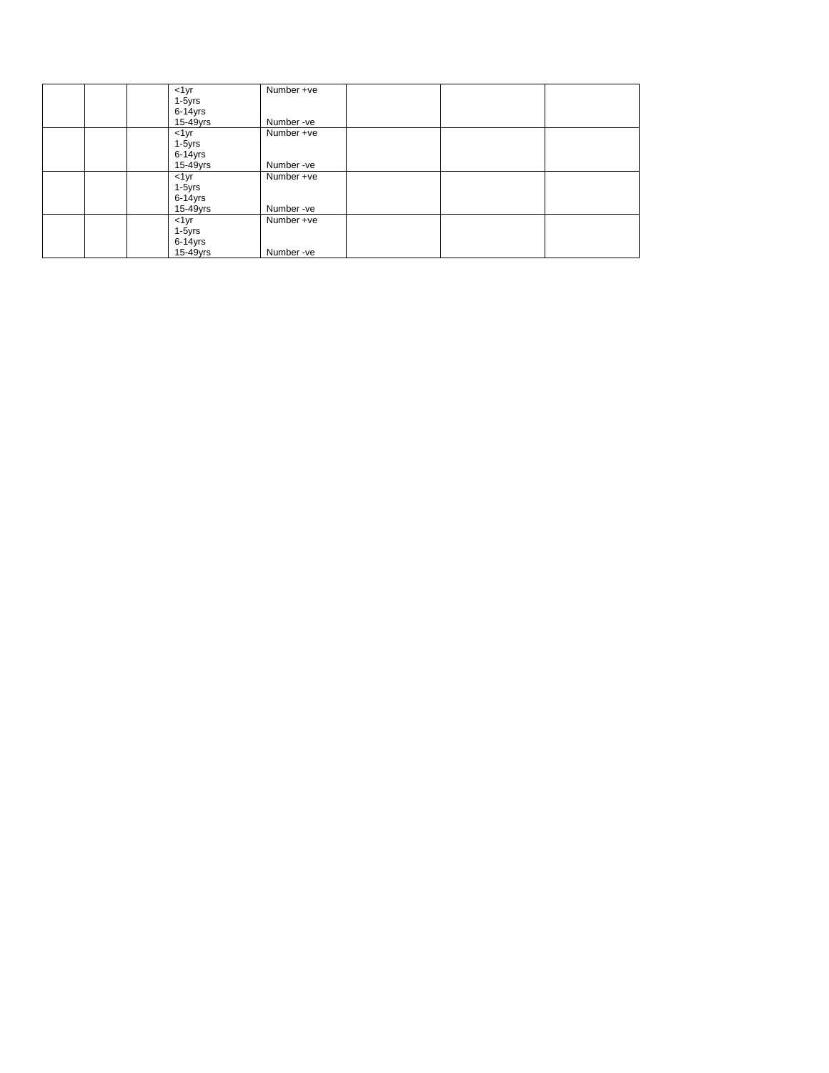|  | $1yr$        | Number +ve |  |
|--|--------------|------------|--|
|  | 1-5yrs       |            |  |
|  | $6 - 14$ yrs |            |  |
|  | 15-49yrs     | Number-ve  |  |
|  | $1yr$        | Number +ve |  |
|  | 1-5yrs       |            |  |
|  | $6 - 14$ yrs |            |  |
|  | 15-49yrs     | Number-ve  |  |
|  | $1yr$        | Number +ve |  |
|  | 1-5yrs       |            |  |
|  | 6-14yrs      |            |  |
|  | 15-49yrs     | Number-ve  |  |
|  | $1yr$        | Number +ve |  |
|  | 1-5yrs       |            |  |
|  | $6 - 14$ yrs |            |  |
|  | 15-49yrs     | Number-ve  |  |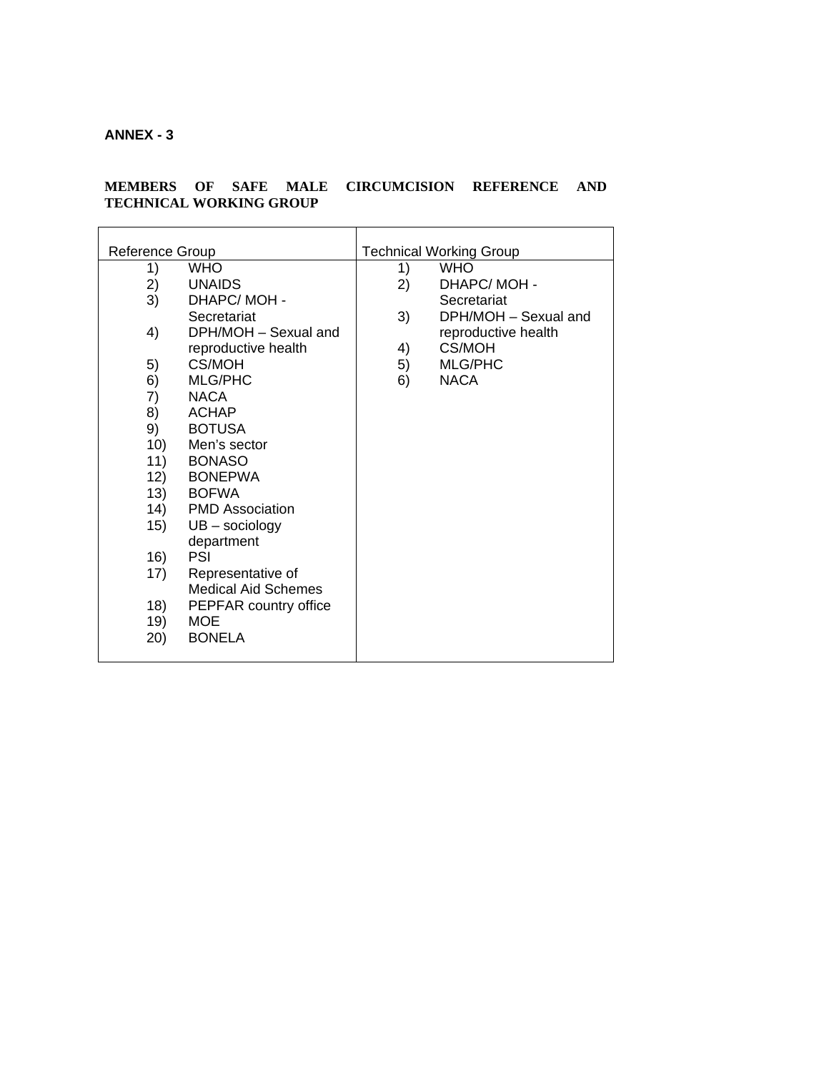# **ANNEX - 3**

#### **MEMBERS OF SAFE MALE CIRCUMCISION REFERENCE AND TECHNICAL WORKING GROUP**

| Reference Group |                            |    | <b>Technical Working Group</b> |
|-----------------|----------------------------|----|--------------------------------|
| 1)              | <b>WHO</b>                 | 1) | <b>WHO</b>                     |
| 2)              | <b>UNAIDS</b>              | 2) | DHAPC/MOH-                     |
| 3)              | DHAPC/MOH-                 |    | Secretariat                    |
|                 | Secretariat                | 3) | DPH/MOH - Sexual and           |
| 4)              | DPH/MOH - Sexual and       |    | reproductive health            |
|                 | reproductive health        | 4) | CS/MOH                         |
| 5)              | <b>CS/MOH</b>              | 5) | <b>MLG/PHC</b>                 |
| 6)              | <b>MLG/PHC</b>             | 6) | <b>NACA</b>                    |
| 7)              | <b>NACA</b>                |    |                                |
| 8)              | <b>ACHAP</b>               |    |                                |
| 9)              | <b>BOTUSA</b>              |    |                                |
| 10)             | Men's sector               |    |                                |
| 11)             | <b>BONASO</b>              |    |                                |
| 12)             | <b>BONEPWA</b>             |    |                                |
| 13)             | <b>BOFWA</b>               |    |                                |
| (14)            | <b>PMD Association</b>     |    |                                |
| 15)             | $UB - sociology$           |    |                                |
|                 | department                 |    |                                |
| 16)             | PSI                        |    |                                |
| 17)             | Representative of          |    |                                |
|                 | <b>Medical Aid Schemes</b> |    |                                |
| 18)             | PEPFAR country office      |    |                                |
| 19)             | <b>MOE</b>                 |    |                                |
| (20)            | <b>BONELA</b>              |    |                                |
|                 |                            |    |                                |